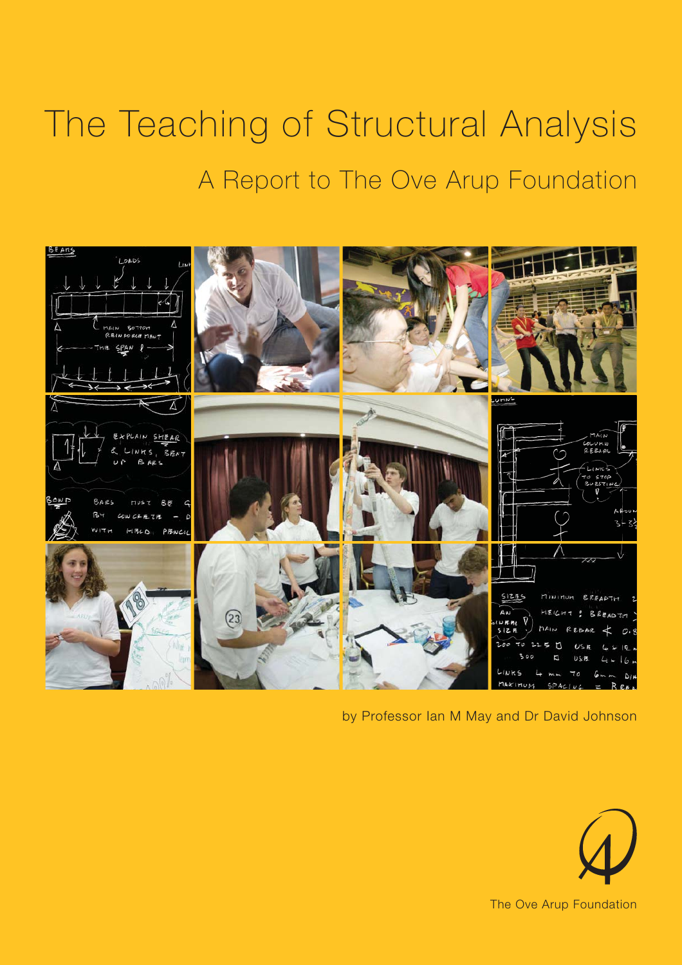# The Teaching of Structural Analysis A Report to The Ove Arup Foundation



by Professor Ian M May and Dr David Johnson

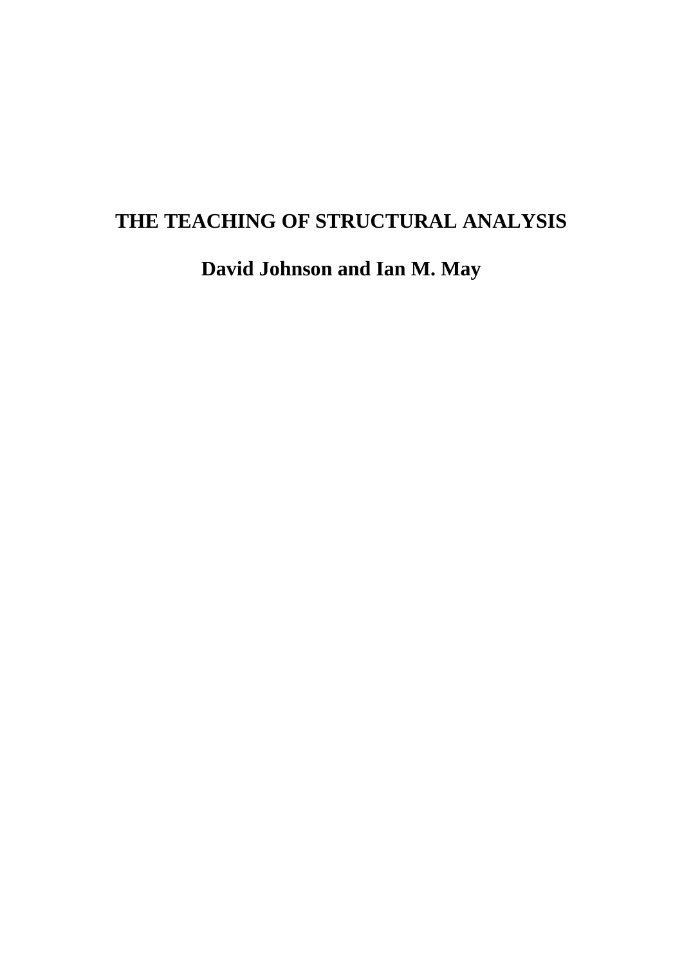# **THE TEACHING OF STRUCTURAL ANALYSIS**

**David Johnson and Ian M. May**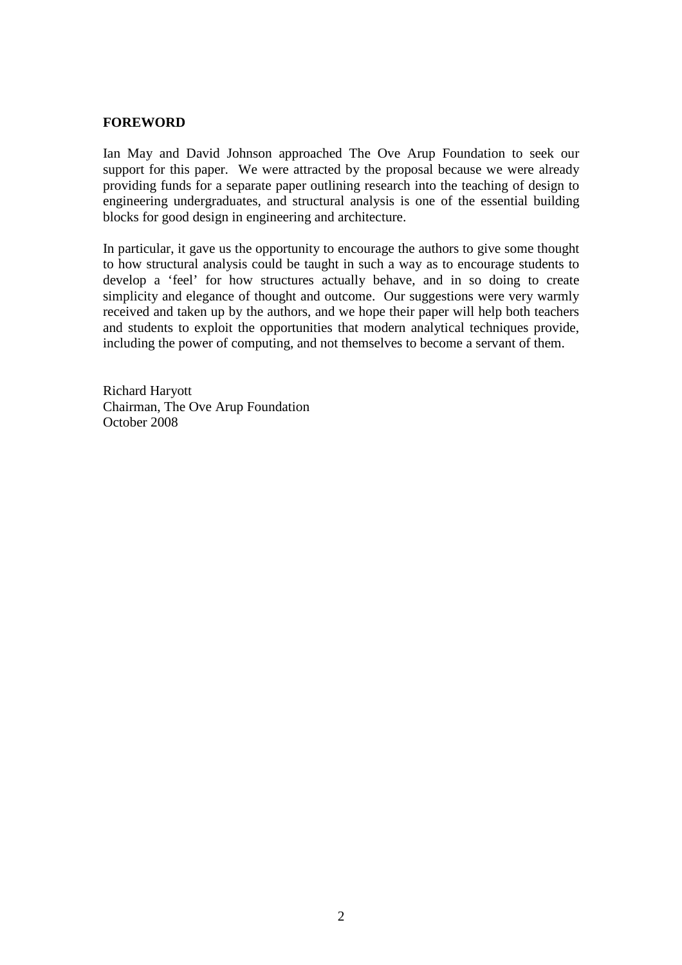#### **FOREWORD**

Ian May and David Johnson approached The Ove Arup Foundation to seek our support for this paper. We were attracted by the proposal because we were already providing funds for a separate paper outlining research into the teaching of design to engineering undergraduates, and structural analysis is one of the essential building blocks for good design in engineering and architecture.

In particular, it gave us the opportunity to encourage the authors to give some thought to how structural analysis could be taught in such a way as to encourage students to develop a 'feel' for how structures actually behave, and in so doing to create simplicity and elegance of thought and outcome. Our suggestions were very warmly received and taken up by the authors, and we hope their paper will help both teachers and students to exploit the opportunities that modern analytical techniques provide, including the power of computing, and not themselves to become a servant of them.

Richard Haryott Chairman, The Ove Arup Foundation October 2008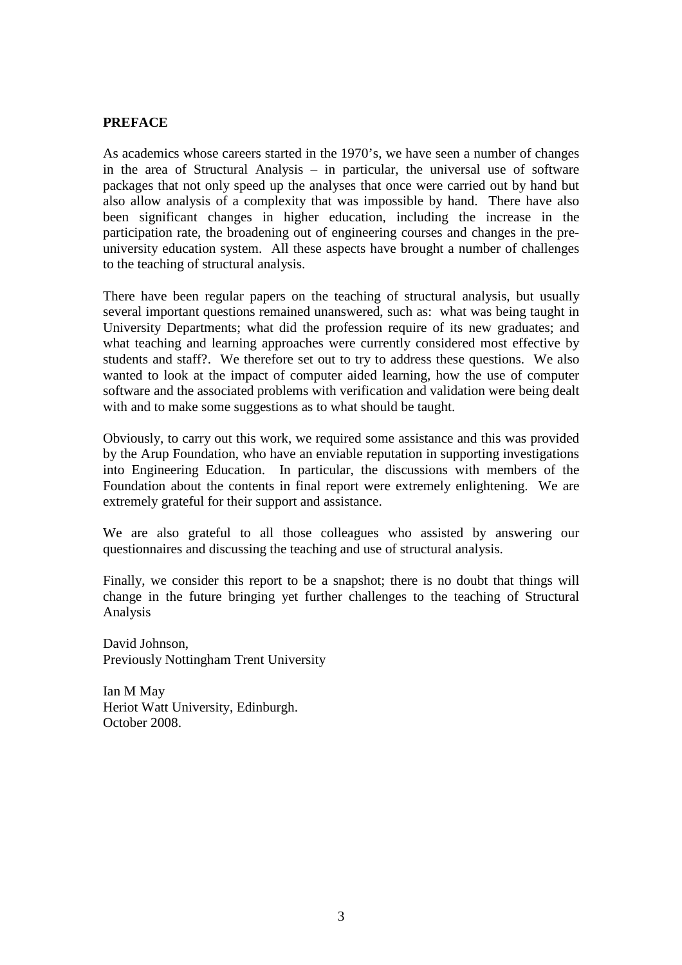#### **PREFACE**

As academics whose careers started in the 1970's, we have seen a number of changes in the area of Structural Analysis – in particular, the universal use of software packages that not only speed up the analyses that once were carried out by hand but also allow analysis of a complexity that was impossible by hand. There have also been significant changes in higher education, including the increase in the participation rate, the broadening out of engineering courses and changes in the preuniversity education system. All these aspects have brought a number of challenges to the teaching of structural analysis.

There have been regular papers on the teaching of structural analysis, but usually several important questions remained unanswered, such as: what was being taught in University Departments; what did the profession require of its new graduates; and what teaching and learning approaches were currently considered most effective by students and staff?. We therefore set out to try to address these questions. We also wanted to look at the impact of computer aided learning, how the use of computer software and the associated problems with verification and validation were being dealt with and to make some suggestions as to what should be taught.

Obviously, to carry out this work, we required some assistance and this was provided by the Arup Foundation, who have an enviable reputation in supporting investigations into Engineering Education. In particular, the discussions with members of the Foundation about the contents in final report were extremely enlightening. We are extremely grateful for their support and assistance.

We are also grateful to all those colleagues who assisted by answering our questionnaires and discussing the teaching and use of structural analysis.

Finally, we consider this report to be a snapshot; there is no doubt that things will change in the future bringing yet further challenges to the teaching of Structural Analysis

David Johnson, Previously Nottingham Trent University

Ian M May Heriot Watt University, Edinburgh. October 2008.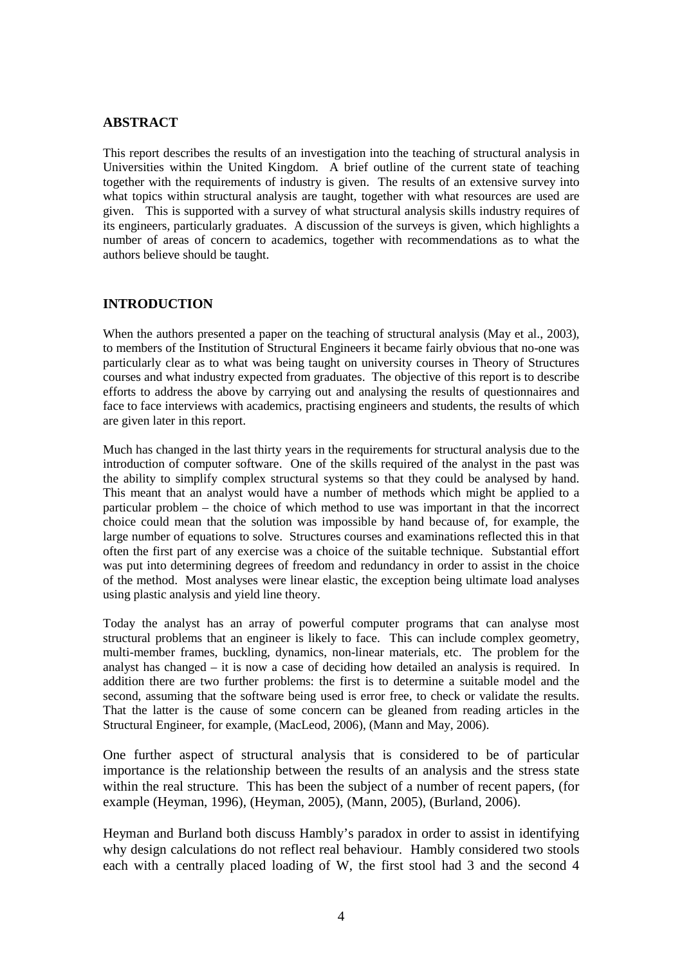#### **ABSTRACT**

This report describes the results of an investigation into the teaching of structural analysis in Universities within the United Kingdom. A brief outline of the current state of teaching together with the requirements of industry is given. The results of an extensive survey into what topics within structural analysis are taught, together with what resources are used are given. This is supported with a survey of what structural analysis skills industry requires of its engineers, particularly graduates. A discussion of the surveys is given, which highlights a number of areas of concern to academics, together with recommendations as to what the authors believe should be taught.

#### **INTRODUCTION**

When the authors presented a paper on the teaching of structural analysis (May et al., 2003), to members of the Institution of Structural Engineers it became fairly obvious that no-one was particularly clear as to what was being taught on university courses in Theory of Structures courses and what industry expected from graduates. The objective of this report is to describe efforts to address the above by carrying out and analysing the results of questionnaires and face to face interviews with academics, practising engineers and students, the results of which are given later in this report.

Much has changed in the last thirty years in the requirements for structural analysis due to the introduction of computer software. One of the skills required of the analyst in the past was the ability to simplify complex structural systems so that they could be analysed by hand. This meant that an analyst would have a number of methods which might be applied to a particular problem – the choice of which method to use was important in that the incorrect choice could mean that the solution was impossible by hand because of, for example, the large number of equations to solve. Structures courses and examinations reflected this in that often the first part of any exercise was a choice of the suitable technique. Substantial effort was put into determining degrees of freedom and redundancy in order to assist in the choice of the method. Most analyses were linear elastic, the exception being ultimate load analyses using plastic analysis and yield line theory.

Today the analyst has an array of powerful computer programs that can analyse most structural problems that an engineer is likely to face. This can include complex geometry, multi-member frames, buckling, dynamics, non-linear materials, etc. The problem for the analyst has changed – it is now a case of deciding how detailed an analysis is required. In addition there are two further problems: the first is to determine a suitable model and the second, assuming that the software being used is error free, to check or validate the results. That the latter is the cause of some concern can be gleaned from reading articles in the Structural Engineer, for example, (MacLeod, 2006), (Mann and May, 2006).

One further aspect of structural analysis that is considered to be of particular importance is the relationship between the results of an analysis and the stress state within the real structure. This has been the subject of a number of recent papers, (for example (Heyman, 1996), (Heyman, 2005), (Mann, 2005), (Burland, 2006).

Heyman and Burland both discuss Hambly's paradox in order to assist in identifying why design calculations do not reflect real behaviour. Hambly considered two stools each with a centrally placed loading of W, the first stool had 3 and the second 4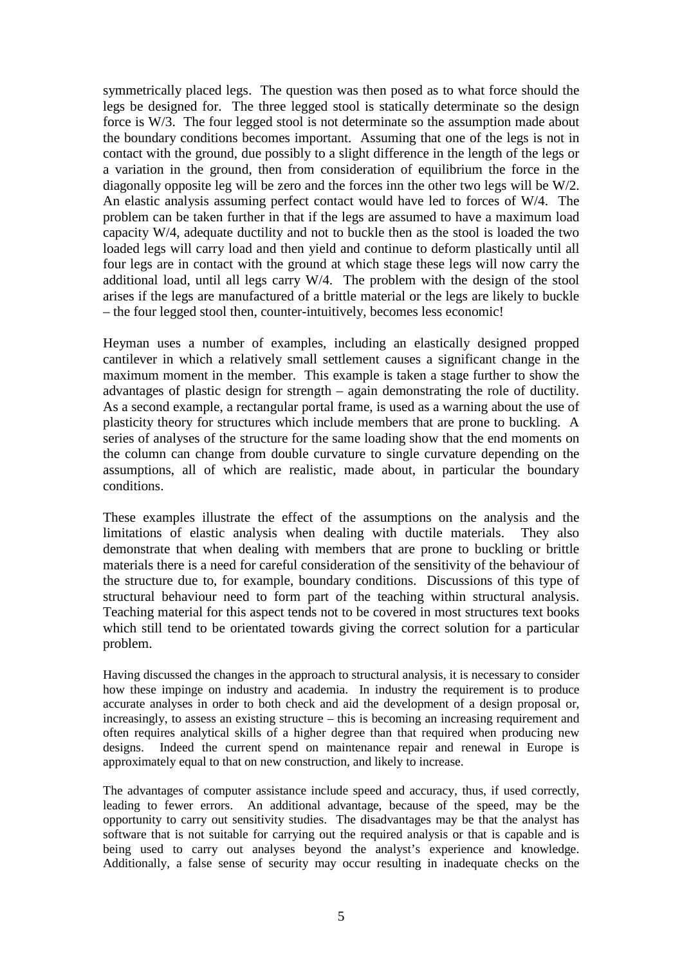symmetrically placed legs. The question was then posed as to what force should the legs be designed for. The three legged stool is statically determinate so the design force is W/3. The four legged stool is not determinate so the assumption made about the boundary conditions becomes important. Assuming that one of the legs is not in contact with the ground, due possibly to a slight difference in the length of the legs or a variation in the ground, then from consideration of equilibrium the force in the diagonally opposite leg will be zero and the forces inn the other two legs will be W/2. An elastic analysis assuming perfect contact would have led to forces of W/4. The problem can be taken further in that if the legs are assumed to have a maximum load capacity W/4, adequate ductility and not to buckle then as the stool is loaded the two loaded legs will carry load and then yield and continue to deform plastically until all four legs are in contact with the ground at which stage these legs will now carry the additional load, until all legs carry W/4. The problem with the design of the stool arises if the legs are manufactured of a brittle material or the legs are likely to buckle – the four legged stool then, counter-intuitively, becomes less economic!

Heyman uses a number of examples, including an elastically designed propped cantilever in which a relatively small settlement causes a significant change in the maximum moment in the member. This example is taken a stage further to show the advantages of plastic design for strength – again demonstrating the role of ductility. As a second example, a rectangular portal frame, is used as a warning about the use of plasticity theory for structures which include members that are prone to buckling. A series of analyses of the structure for the same loading show that the end moments on the column can change from double curvature to single curvature depending on the assumptions, all of which are realistic, made about, in particular the boundary conditions.

These examples illustrate the effect of the assumptions on the analysis and the limitations of elastic analysis when dealing with ductile materials. They also demonstrate that when dealing with members that are prone to buckling or brittle materials there is a need for careful consideration of the sensitivity of the behaviour of the structure due to, for example, boundary conditions. Discussions of this type of structural behaviour need to form part of the teaching within structural analysis. Teaching material for this aspect tends not to be covered in most structures text books which still tend to be orientated towards giving the correct solution for a particular problem.

Having discussed the changes in the approach to structural analysis, it is necessary to consider how these impinge on industry and academia. In industry the requirement is to produce accurate analyses in order to both check and aid the development of a design proposal or, increasingly, to assess an existing structure – this is becoming an increasing requirement and often requires analytical skills of a higher degree than that required when producing new designs. Indeed the current spend on maintenance repair and renewal in Europe is approximately equal to that on new construction, and likely to increase.

The advantages of computer assistance include speed and accuracy, thus, if used correctly, leading to fewer errors. An additional advantage, because of the speed, may be the opportunity to carry out sensitivity studies. The disadvantages may be that the analyst has software that is not suitable for carrying out the required analysis or that is capable and is being used to carry out analyses beyond the analyst's experience and knowledge. Additionally, a false sense of security may occur resulting in inadequate checks on the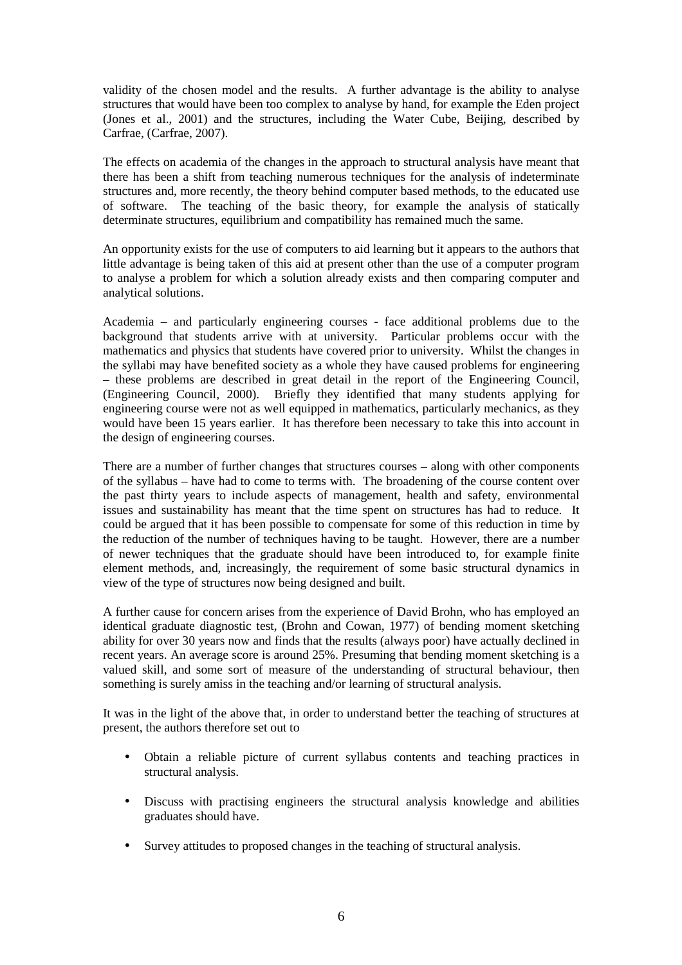validity of the chosen model and the results. A further advantage is the ability to analyse structures that would have been too complex to analyse by hand, for example the Eden project (Jones et al., 2001) and the structures, including the Water Cube, Beijing, described by Carfrae, (Carfrae, 2007).

The effects on academia of the changes in the approach to structural analysis have meant that there has been a shift from teaching numerous techniques for the analysis of indeterminate structures and, more recently, the theory behind computer based methods, to the educated use of software. The teaching of the basic theory, for example the analysis of statically determinate structures, equilibrium and compatibility has remained much the same.

An opportunity exists for the use of computers to aid learning but it appears to the authors that little advantage is being taken of this aid at present other than the use of a computer program to analyse a problem for which a solution already exists and then comparing computer and analytical solutions.

Academia – and particularly engineering courses - face additional problems due to the background that students arrive with at university. Particular problems occur with the mathematics and physics that students have covered prior to university. Whilst the changes in the syllabi may have benefited society as a whole they have caused problems for engineering – these problems are described in great detail in the report of the Engineering Council, (Engineering Council, 2000). Briefly they identified that many students applying for engineering course were not as well equipped in mathematics, particularly mechanics, as they would have been 15 years earlier. It has therefore been necessary to take this into account in the design of engineering courses.

There are a number of further changes that structures courses – along with other components of the syllabus – have had to come to terms with. The broadening of the course content over the past thirty years to include aspects of management, health and safety, environmental issues and sustainability has meant that the time spent on structures has had to reduce. It could be argued that it has been possible to compensate for some of this reduction in time by the reduction of the number of techniques having to be taught. However, there are a number of newer techniques that the graduate should have been introduced to, for example finite element methods, and, increasingly, the requirement of some basic structural dynamics in view of the type of structures now being designed and built.

A further cause for concern arises from the experience of David Brohn, who has employed an identical graduate diagnostic test, (Brohn and Cowan, 1977) of bending moment sketching ability for over 30 years now and finds that the results (always poor) have actually declined in recent years. An average score is around 25%. Presuming that bending moment sketching is a valued skill, and some sort of measure of the understanding of structural behaviour, then something is surely amiss in the teaching and/or learning of structural analysis.

It was in the light of the above that, in order to understand better the teaching of structures at present, the authors therefore set out to

- Obtain a reliable picture of current syllabus contents and teaching practices in structural analysis.
- Discuss with practising engineers the structural analysis knowledge and abilities graduates should have.
- Survey attitudes to proposed changes in the teaching of structural analysis.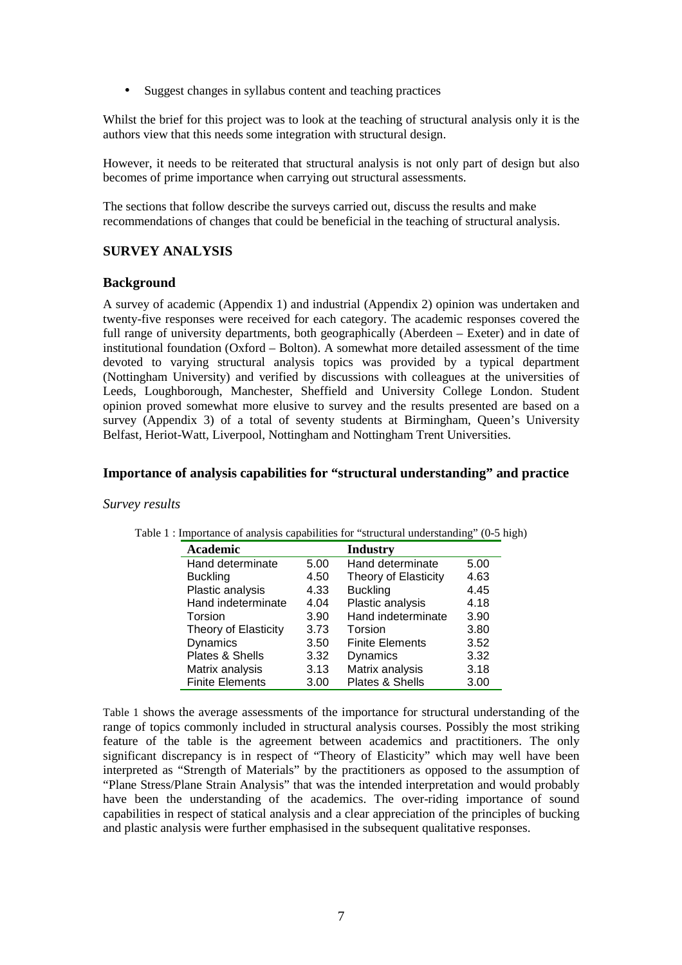• Suggest changes in syllabus content and teaching practices

Whilst the brief for this project was to look at the teaching of structural analysis only it is the authors view that this needs some integration with structural design.

However, it needs to be reiterated that structural analysis is not only part of design but also becomes of prime importance when carrying out structural assessments.

The sections that follow describe the surveys carried out, discuss the results and make recommendations of changes that could be beneficial in the teaching of structural analysis.

#### **SURVEY ANALYSIS**

#### **Background**

A survey of academic (Appendix 1) and industrial (Appendix 2) opinion was undertaken and twenty-five responses were received for each category. The academic responses covered the full range of university departments, both geographically (Aberdeen – Exeter) and in date of institutional foundation (Oxford – Bolton). A somewhat more detailed assessment of the time devoted to varying structural analysis topics was provided by a typical department (Nottingham University) and verified by discussions with colleagues at the universities of Leeds, Loughborough, Manchester, Sheffield and University College London. Student opinion proved somewhat more elusive to survey and the results presented are based on a survey (Appendix 3) of a total of seventy students at Birmingham, Queen's University Belfast, Heriot-Watt, Liverpool, Nottingham and Nottingham Trent Universities.

#### **Importance of analysis capabilities for "structural understanding" and practice**

#### *Survey results*

| <b>Academic</b>        |      | <b>Industry</b>        |      |
|------------------------|------|------------------------|------|
| Hand determinate       | 5.00 | Hand determinate       | 5.00 |
| <b>Buckling</b>        | 4.50 | Theory of Elasticity   | 4.63 |
| Plastic analysis       | 4.33 | <b>Buckling</b>        | 4.45 |
| Hand indeterminate     | 4.04 | Plastic analysis       | 4.18 |
| Torsion                | 3.90 | Hand indeterminate     | 3.90 |
| Theory of Elasticity   | 3.73 | Torsion                | 3.80 |
| Dynamics               | 3.50 | <b>Finite Elements</b> | 3.52 |
| Plates & Shells        | 3.32 | Dynamics               | 3.32 |
| Matrix analysis        | 3.13 | Matrix analysis        | 3.18 |
| <b>Finite Elements</b> | 3.00 | Plates & Shells        | 3.00 |

Table 1 : Importance of analysis capabilities for "structural understanding" (0-5 high)

Table 1 shows the average assessments of the importance for structural understanding of the range of topics commonly included in structural analysis courses. Possibly the most striking feature of the table is the agreement between academics and practitioners. The only significant discrepancy is in respect of "Theory of Elasticity" which may well have been interpreted as "Strength of Materials" by the practitioners as opposed to the assumption of "Plane Stress/Plane Strain Analysis" that was the intended interpretation and would probably have been the understanding of the academics. The over-riding importance of sound capabilities in respect of statical analysis and a clear appreciation of the principles of bucking and plastic analysis were further emphasised in the subsequent qualitative responses.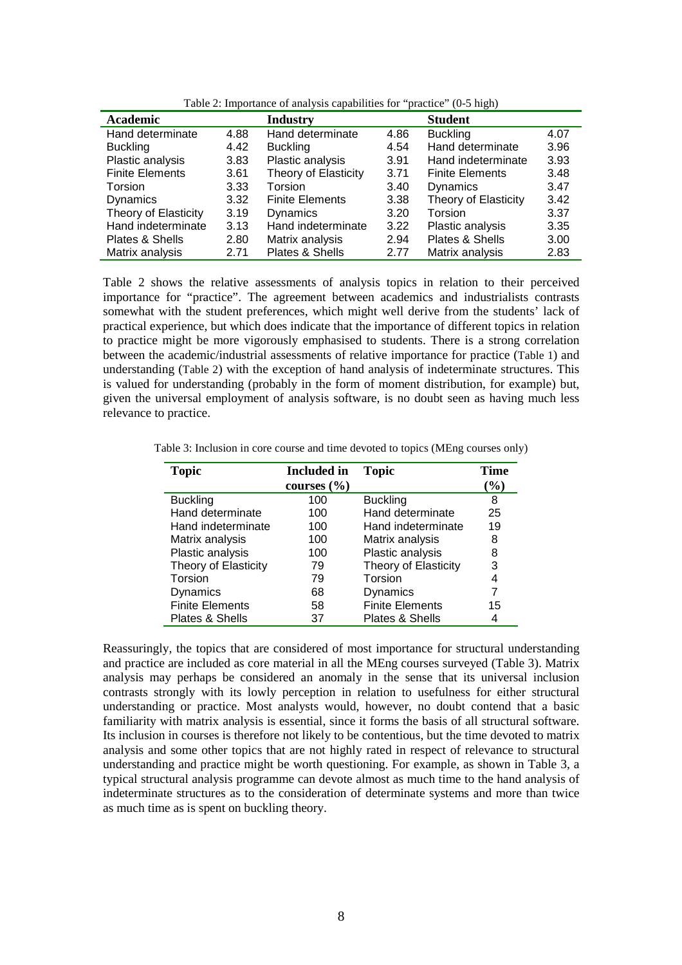| Academic               |      | <b>Industry</b>        |      | <b>Student</b>         |      |
|------------------------|------|------------------------|------|------------------------|------|
| Hand determinate       | 4.88 | Hand determinate       | 4.86 | <b>Buckling</b>        | 4.07 |
| <b>Buckling</b>        | 4.42 | <b>Buckling</b>        | 4.54 | Hand determinate       | 3.96 |
| Plastic analysis       | 3.83 | Plastic analysis       | 3.91 | Hand indeterminate     | 3.93 |
| <b>Finite Elements</b> | 3.61 | Theory of Elasticity   | 3.71 | <b>Finite Elements</b> | 3.48 |
| Torsion                | 3.33 | Torsion                | 3.40 | <b>Dynamics</b>        | 3.47 |
| <b>Dynamics</b>        | 3.32 | <b>Finite Elements</b> | 3.38 | Theory of Elasticity   | 3.42 |
| Theory of Elasticity   | 3.19 | Dynamics               | 3.20 | Torsion                | 3.37 |
| Hand indeterminate     | 3.13 | Hand indeterminate     | 3.22 | Plastic analysis       | 3.35 |
| Plates & Shells        | 2.80 | Matrix analysis        | 2.94 | Plates & Shells        | 3.00 |
| Matrix analysis        | 2.71 | Plates & Shells        | 2.77 | Matrix analysis        | 2.83 |

Table 2: Importance of analysis capabilities for "practice" (0-5 high)

Table 2 shows the relative assessments of analysis topics in relation to their perceived importance for "practice". The agreement between academics and industrialists contrasts somewhat with the student preferences, which might well derive from the students' lack of practical experience, but which does indicate that the importance of different topics in relation to practice might be more vigorously emphasised to students. There is a strong correlation between the academic/industrial assessments of relative importance for practice (Table 1) and understanding (Table 2) with the exception of hand analysis of indeterminate structures. This is valued for understanding (probably in the form of moment distribution, for example) but, given the universal employment of analysis software, is no doubt seen as having much less relevance to practice.

| <b>Topic</b>           | <b>Included</b> in<br>courses $(\% )$ | <b>Topic</b>           | Time<br>$(\%)$ |
|------------------------|---------------------------------------|------------------------|----------------|
| <b>Buckling</b>        | 100                                   | <b>Buckling</b>        | 8              |
| Hand determinate       | 100                                   | Hand determinate       | 25             |
| Hand indeterminate     | 100                                   | Hand indeterminate     | 19             |
| Matrix analysis        | 100                                   | Matrix analysis        | 8              |
| Plastic analysis       | 100                                   | Plastic analysis       | 8              |
| Theory of Elasticity   | 79                                    | Theory of Elasticity   | 3              |
| Torsion                | 79                                    | Torsion                | 4              |
| Dynamics               | 68                                    | Dynamics               | 7              |
| <b>Finite Elements</b> | 58                                    | <b>Finite Elements</b> | 15             |
| Plates & Shells        | 37                                    | Plates & Shells        |                |

Table 3: Inclusion in core course and time devoted to topics (MEng courses only)

Reassuringly, the topics that are considered of most importance for structural understanding and practice are included as core material in all the MEng courses surveyed (Table 3). Matrix analysis may perhaps be considered an anomaly in the sense that its universal inclusion contrasts strongly with its lowly perception in relation to usefulness for either structural understanding or practice. Most analysts would, however, no doubt contend that a basic familiarity with matrix analysis is essential, since it forms the basis of all structural software. Its inclusion in courses is therefore not likely to be contentious, but the time devoted to matrix analysis and some other topics that are not highly rated in respect of relevance to structural understanding and practice might be worth questioning. For example, as shown in Table 3, a typical structural analysis programme can devote almost as much time to the hand analysis of indeterminate structures as to the consideration of determinate systems and more than twice as much time as is spent on buckling theory.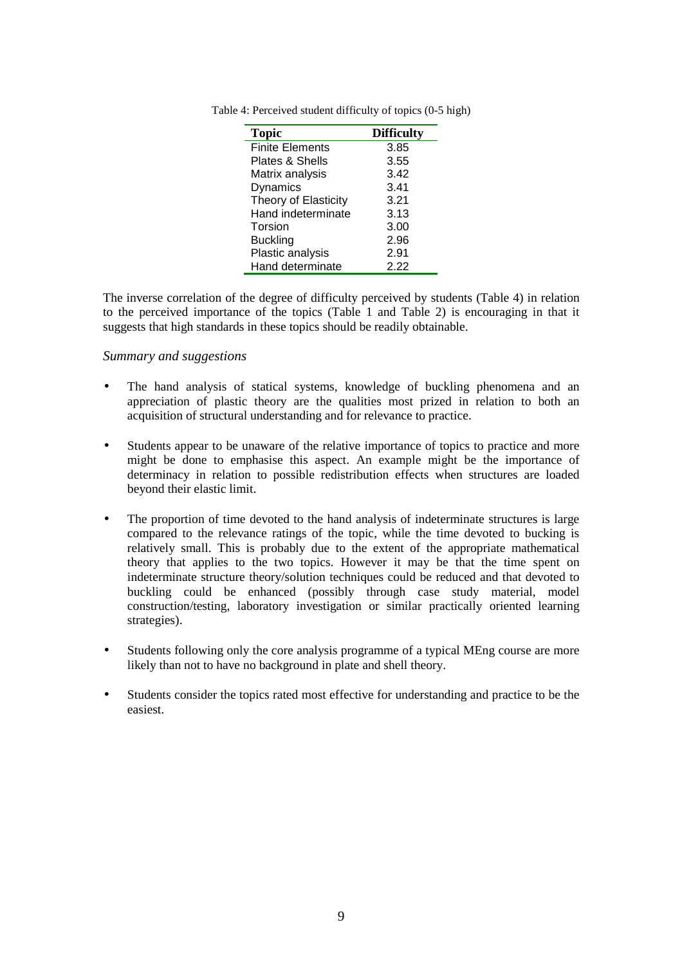| <b>Topic</b>           | <b>Difficulty</b> |
|------------------------|-------------------|
| <b>Finite Elements</b> | 3.85              |
| Plates & Shells        | 3.55              |
| Matrix analysis        | 3.42              |
| Dynamics               | 3.41              |
| Theory of Elasticity   | 3.21              |
| Hand indeterminate     | 3.13              |
| Torsion                | 3.00              |
| <b>Buckling</b>        | 2.96              |
| Plastic analysis       | 2.91              |
| Hand determinate       | 2.22              |

Table 4: Perceived student difficulty of topics (0-5 high)

The inverse correlation of the degree of difficulty perceived by students (Table 4) in relation to the perceived importance of the topics (Table 1 and Table 2) is encouraging in that it suggests that high standards in these topics should be readily obtainable.

#### *Summary and suggestions*

- The hand analysis of statical systems, knowledge of buckling phenomena and an appreciation of plastic theory are the qualities most prized in relation to both an acquisition of structural understanding and for relevance to practice.
- Students appear to be unaware of the relative importance of topics to practice and more might be done to emphasise this aspect. An example might be the importance of determinacy in relation to possible redistribution effects when structures are loaded beyond their elastic limit.
- The proportion of time devoted to the hand analysis of indeterminate structures is large compared to the relevance ratings of the topic, while the time devoted to bucking is relatively small. This is probably due to the extent of the appropriate mathematical theory that applies to the two topics. However it may be that the time spent on indeterminate structure theory/solution techniques could be reduced and that devoted to buckling could be enhanced (possibly through case study material, model construction/testing, laboratory investigation or similar practically oriented learning strategies).
- Students following only the core analysis programme of a typical MEng course are more likely than not to have no background in plate and shell theory.
- Students consider the topics rated most effective for understanding and practice to be the easiest.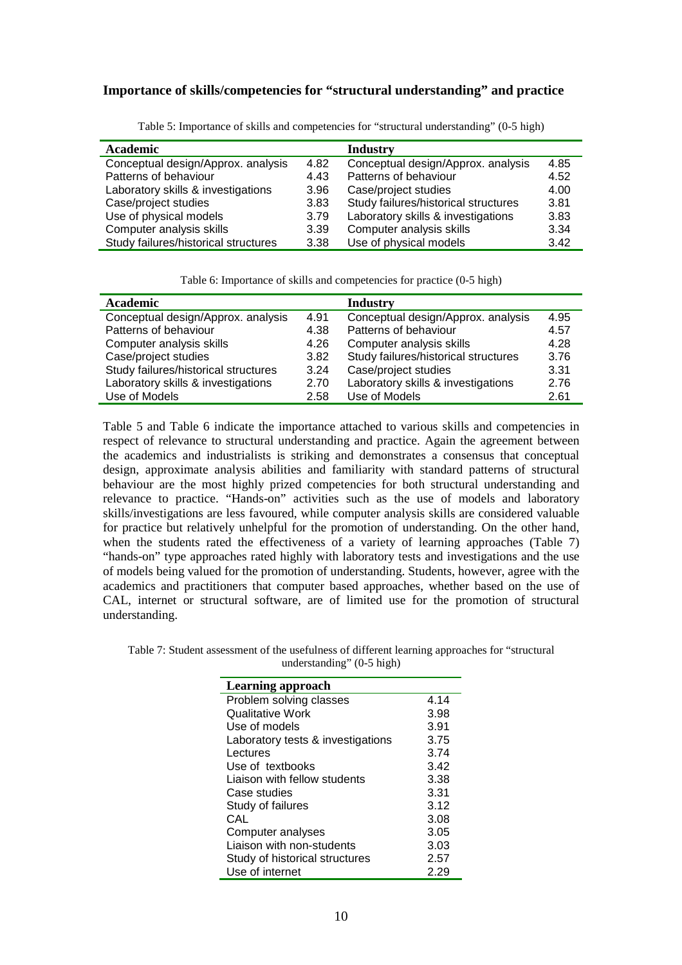#### **Importance of skills/competencies for "structural understanding" and practice**

| Academic                             |      | Industry                             |      |
|--------------------------------------|------|--------------------------------------|------|
| Conceptual design/Approx. analysis   | 4.82 | Conceptual design/Approx. analysis   | 4.85 |
| Patterns of behaviour                | 4.43 | Patterns of behaviour                | 4.52 |
| Laboratory skills & investigations   | 3.96 | Case/project studies                 | 4.00 |
| Case/project studies                 | 3.83 | Study failures/historical structures | 3.81 |
| Use of physical models               | 3.79 | Laboratory skills & investigations   | 3.83 |
| Computer analysis skills             | 3.39 | Computer analysis skills             | 3.34 |
| Study failures/historical structures | 3.38 | Use of physical models               | 3.42 |

Table 5: Importance of skills and competencies for "structural understanding" (0-5 high)

Table 6: Importance of skills and competencies for practice (0-5 high)

| <b>Academic</b>                      |      | <b>Industry</b>                      |      |
|--------------------------------------|------|--------------------------------------|------|
| Conceptual design/Approx. analysis   | 4.91 | Conceptual design/Approx. analysis   | 4.95 |
| Patterns of behaviour                | 4.38 | Patterns of behaviour                | 4.57 |
| Computer analysis skills             | 4.26 | Computer analysis skills             | 4.28 |
| Case/project studies                 | 3.82 | Study failures/historical structures | 3.76 |
| Study failures/historical structures | 3.24 | Case/project studies                 | 3.31 |
| Laboratory skills & investigations   | 2.70 | Laboratory skills & investigations   | 2.76 |
| Use of Models                        | 2.58 | Use of Models                        | 2.61 |

Table 5 and Table 6 indicate the importance attached to various skills and competencies in respect of relevance to structural understanding and practice. Again the agreement between the academics and industrialists is striking and demonstrates a consensus that conceptual design, approximate analysis abilities and familiarity with standard patterns of structural behaviour are the most highly prized competencies for both structural understanding and relevance to practice. "Hands-on" activities such as the use of models and laboratory skills/investigations are less favoured, while computer analysis skills are considered valuable for practice but relatively unhelpful for the promotion of understanding. On the other hand, when the students rated the effectiveness of a variety of learning approaches (Table 7) "hands-on" type approaches rated highly with laboratory tests and investigations and the use of models being valued for the promotion of understanding. Students, however, agree with the academics and practitioners that computer based approaches, whether based on the use of CAL, internet or structural software, are of limited use for the promotion of structural understanding.

| Table 7: Student assessment of the usefulness of different learning approaches for "structural" |  |
|-------------------------------------------------------------------------------------------------|--|
| understanding" $(0-5$ high)                                                                     |  |

| <b>Learning approach</b>          |      |
|-----------------------------------|------|
| Problem solving classes           | 4.14 |
| Qualitative Work                  | 3.98 |
| Use of models                     | 3.91 |
| Laboratory tests & investigations | 3.75 |
| Lectures                          | 3.74 |
| Use of textbooks                  | 3.42 |
| Liaison with fellow students      | 3.38 |
| Case studies                      | 3.31 |
| Study of failures                 | 3.12 |
| CAL                               | 3.08 |
| Computer analyses                 | 3.05 |
| Liaison with non-students         | 3.03 |
| Study of historical structures    | 2.57 |
| Use of internet                   | 2.29 |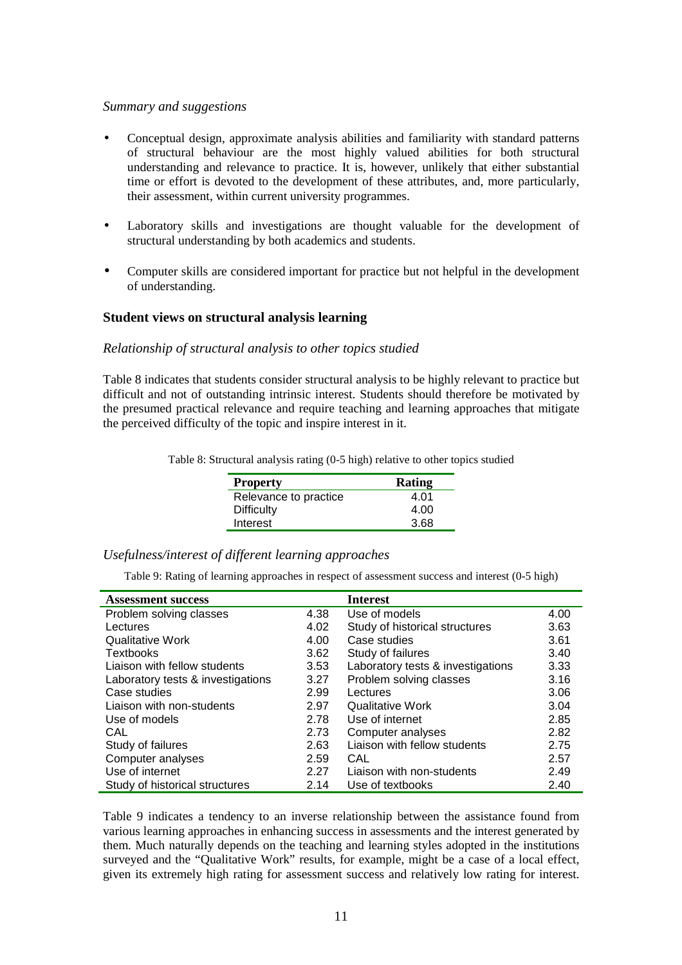#### *Summary and suggestions*

- Conceptual design, approximate analysis abilities and familiarity with standard patterns of structural behaviour are the most highly valued abilities for both structural understanding and relevance to practice. It is, however, unlikely that either substantial time or effort is devoted to the development of these attributes, and, more particularly, their assessment, within current university programmes.
- Laboratory skills and investigations are thought valuable for the development of structural understanding by both academics and students.
- Computer skills are considered important for practice but not helpful in the development of understanding.

#### **Student views on structural analysis learning**

#### *Relationship of structural analysis to other topics studied*

Table 8 indicates that students consider structural analysis to be highly relevant to practice but difficult and not of outstanding intrinsic interest. Students should therefore be motivated by the presumed practical relevance and require teaching and learning approaches that mitigate the perceived difficulty of the topic and inspire interest in it.

Table 8: Structural analysis rating (0-5 high) relative to other topics studied

| Rating |
|--------|
| 4.01   |
| 4.00   |
| 3.68   |
|        |

#### *Usefulness/interest of different learning approaches*

Table 9: Rating of learning approaches in respect of assessment success and interest (0-5 high)

| <b>Assessment success</b>         |      | <b>Interest</b>                   |      |
|-----------------------------------|------|-----------------------------------|------|
| Problem solving classes           | 4.38 | Use of models                     | 4.00 |
| Lectures                          | 4.02 | Study of historical structures    | 3.63 |
| <b>Qualitative Work</b>           | 4.00 | Case studies                      | 3.61 |
| Textbooks                         | 3.62 | Study of failures                 | 3.40 |
| Liaison with fellow students      | 3.53 | Laboratory tests & investigations | 3.33 |
| Laboratory tests & investigations | 3.27 | Problem solving classes           | 3.16 |
| Case studies                      | 2.99 | Lectures                          | 3.06 |
| Liaison with non-students         | 2.97 | <b>Qualitative Work</b>           | 3.04 |
| Use of models                     | 2.78 | Use of internet                   | 2.85 |
| CAL                               | 2.73 | Computer analyses                 | 2.82 |
| Study of failures                 | 2.63 | Liaison with fellow students      | 2.75 |
| Computer analyses                 | 2.59 | CAL                               | 2.57 |
| Use of internet                   | 2.27 | Liaison with non-students         | 2.49 |
| Study of historical structures    | 2.14 | Use of textbooks                  | 2.40 |

Table 9 indicates a tendency to an inverse relationship between the assistance found from various learning approaches in enhancing success in assessments and the interest generated by them. Much naturally depends on the teaching and learning styles adopted in the institutions surveyed and the "Qualitative Work" results, for example, might be a case of a local effect, given its extremely high rating for assessment success and relatively low rating for interest.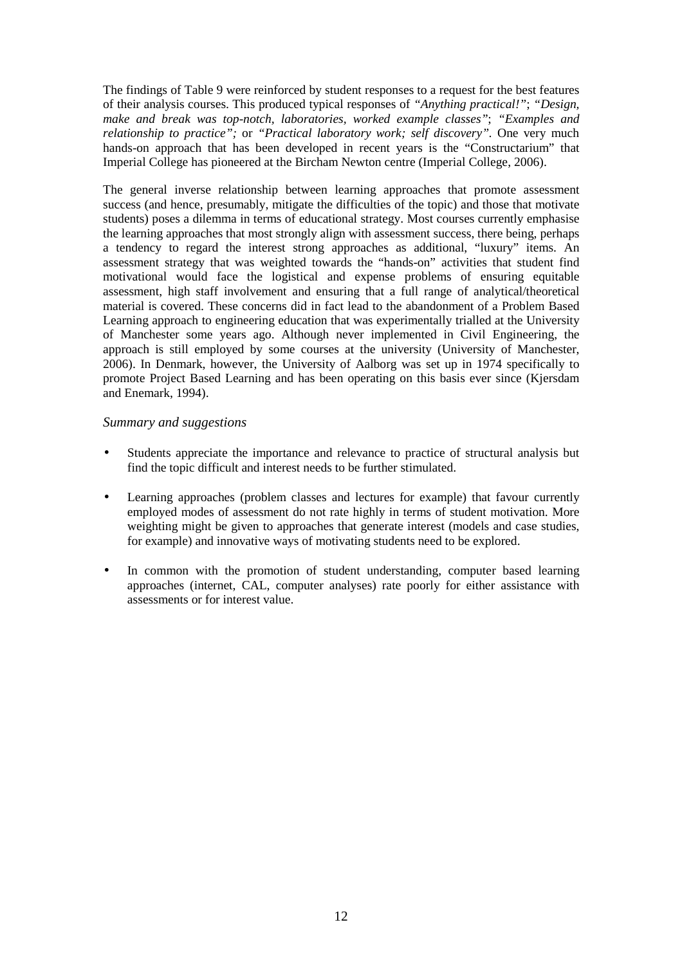The findings of Table 9 were reinforced by student responses to a request for the best features of their analysis courses. This produced typical responses of *"Anything practical!"*; *"Design, make and break was top-notch, laboratories, worked example classes"*; *"Examples and relationship to practice";* or *"Practical laboratory work; self discovery".* One very much hands-on approach that has been developed in recent years is the "Constructarium" that Imperial College has pioneered at the Bircham Newton centre (Imperial College, 2006).

The general inverse relationship between learning approaches that promote assessment success (and hence, presumably, mitigate the difficulties of the topic) and those that motivate students) poses a dilemma in terms of educational strategy. Most courses currently emphasise the learning approaches that most strongly align with assessment success, there being, perhaps a tendency to regard the interest strong approaches as additional, "luxury" items. An assessment strategy that was weighted towards the "hands-on" activities that student find motivational would face the logistical and expense problems of ensuring equitable assessment, high staff involvement and ensuring that a full range of analytical/theoretical material is covered. These concerns did in fact lead to the abandonment of a Problem Based Learning approach to engineering education that was experimentally trialled at the University of Manchester some years ago. Although never implemented in Civil Engineering, the approach is still employed by some courses at the university (University of Manchester, 2006). In Denmark, however, the University of Aalborg was set up in 1974 specifically to promote Project Based Learning and has been operating on this basis ever since (Kjersdam and Enemark, 1994).

#### *Summary and suggestions*

- Students appreciate the importance and relevance to practice of structural analysis but find the topic difficult and interest needs to be further stimulated.
- Learning approaches (problem classes and lectures for example) that favour currently employed modes of assessment do not rate highly in terms of student motivation. More weighting might be given to approaches that generate interest (models and case studies, for example) and innovative ways of motivating students need to be explored.
- In common with the promotion of student understanding, computer based learning approaches (internet, CAL, computer analyses) rate poorly for either assistance with assessments or for interest value.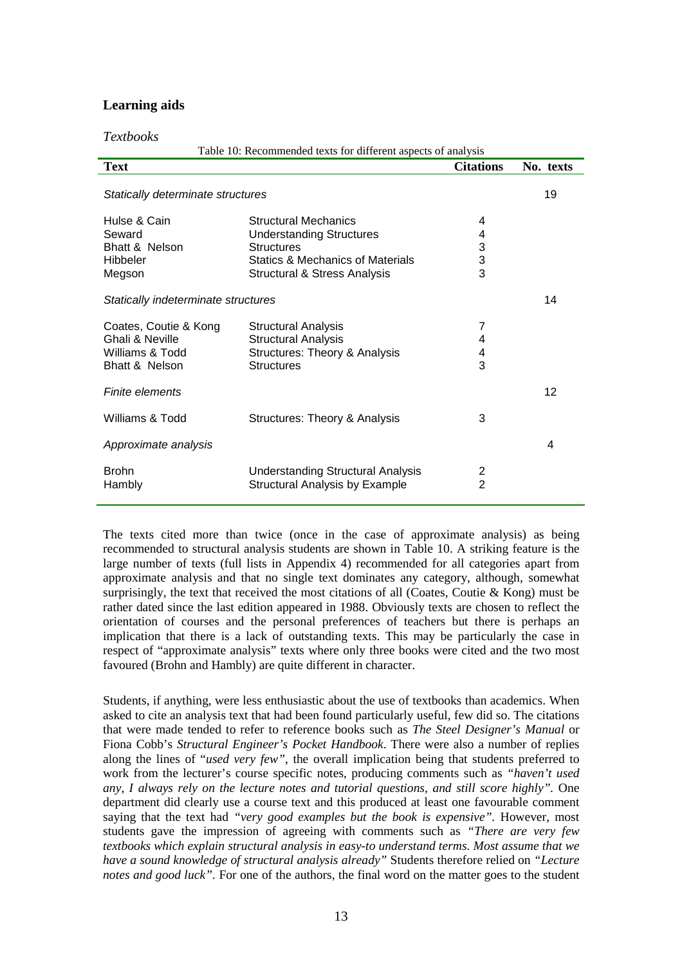#### **Learning aids**

*Textbooks* 

Table 10: Recommended texts for different aspects of analysis **Text** Citations No. texts Statically determinate structures 19 Hulse & Cain **Structural Mechanics** 4 (Seward call 1) 4 (Seward call 1) 4 (Seward call 1) 4 (Seward 2) 4 (Seward 2) 4 (Seward 2) 4 (Seward 2) 4 (Seward 2) 4 (Seward 2) 4 (Seward 2) 4 (Seward 2) 4 (Seward 2) 4 (Seward 2) 5 Seward Understanding Structures 4 Bhatt & Nelson **Structures** Hibbeler Statics & Mechanics of Materials 3 Megson Structural & Stress Analysis 3 Statically indeterminate structures 14 Coates, Coutie & Kong Structural Analysis 7 Ghali & Neville **Structural Analysis** 4 Williams & Todd Structures: Theory & Analysis 4 Bhatt & Nelson Structures 3 Finite elements 12 Williams & Todd Structures: Theory & Analysis 3 Approximate analysis 4 Brohn Understanding Structural Analysis 2 Hambly **Structural Analysis by Example** 

The texts cited more than twice (once in the case of approximate analysis) as being recommended to structural analysis students are shown in Table 10. A striking feature is the large number of texts (full lists in Appendix 4) recommended for all categories apart from approximate analysis and that no single text dominates any category, although, somewhat surprisingly, the text that received the most citations of all (Coates, Coutie & Kong) must be rather dated since the last edition appeared in 1988. Obviously texts are chosen to reflect the orientation of courses and the personal preferences of teachers but there is perhaps an implication that there is a lack of outstanding texts. This may be particularly the case in respect of "approximate analysis" texts where only three books were cited and the two most favoured (Brohn and Hambly) are quite different in character.

Students, if anything, were less enthusiastic about the use of textbooks than academics. When asked to cite an analysis text that had been found particularly useful, few did so. The citations that were made tended to refer to reference books such as *The Steel Designer's Manual* or Fiona Cobb's *Structural Engineer's Pocket Handbook*. There were also a number of replies along the lines of "*used very few"*, the overall implication being that students preferred to work from the lecturer's course specific notes, producing comments such as *"haven't used any, I always rely on the lecture notes and tutorial questions, and still score highly".* One department did clearly use a course text and this produced at least one favourable comment saying that the text had *"very good examples but the book is expensive".* However, most students gave the impression of agreeing with comments such as *"There are very few textbooks which explain structural analysis in easy-to understand terms. Most assume that we have a sound knowledge of structural analysis already"* Students therefore relied on *"Lecture notes and good luck*". For one of the authors, the final word on the matter goes to the student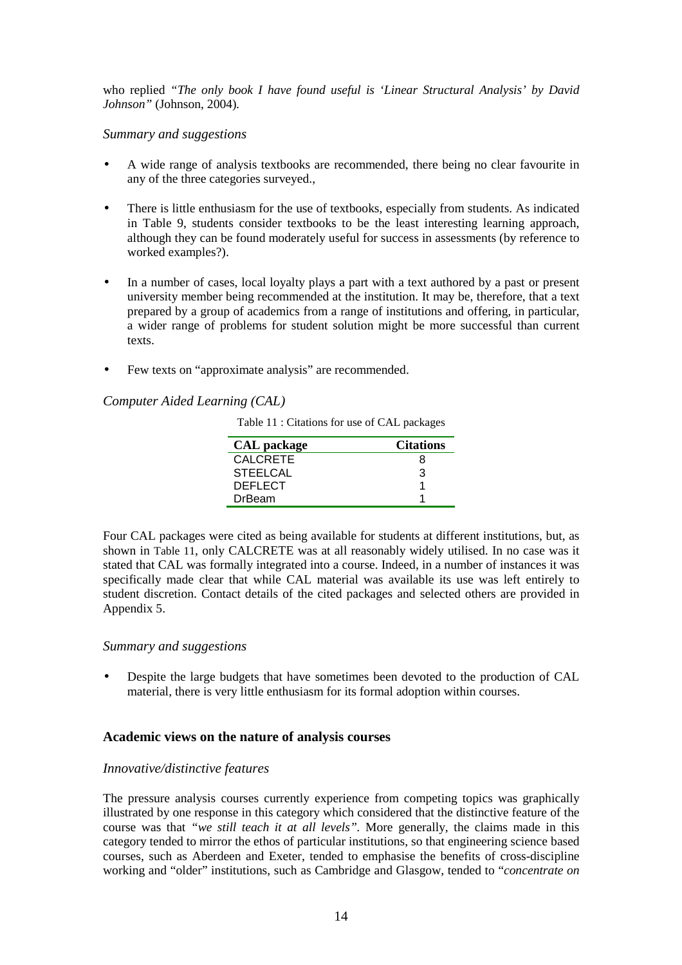who replied *"The only book I have found useful is 'Linear Structural Analysis' by David Johnson"* (Johnson, 2004)*.*

#### *Summary and suggestions*

- A wide range of analysis textbooks are recommended, there being no clear favourite in any of the three categories surveyed.,
- There is little enthusiasm for the use of textbooks, especially from students. As indicated in Table 9, students consider textbooks to be the least interesting learning approach, although they can be found moderately useful for success in assessments (by reference to worked examples?).
- In a number of cases, local loyalty plays a part with a text authored by a past or present university member being recommended at the institution. It may be, therefore, that a text prepared by a group of academics from a range of institutions and offering, in particular, a wider range of problems for student solution might be more successful than current texts.
- Few texts on "approximate analysis" are recommended.

#### *Computer Aided Learning (CAL)*

Table 11 : Citations for use of CAL packages

| <b>CAL</b> package | <b>Citations</b> |
|--------------------|------------------|
| <b>CALCRETE</b>    | 8                |
| <b>STEELCAL</b>    | З                |
| <b>DEFLECT</b>     |                  |
| <b>DrBeam</b>      |                  |
|                    |                  |

Four CAL packages were cited as being available for students at different institutions, but, as shown in Table 11, only CALCRETE was at all reasonably widely utilised. In no case was it stated that CAL was formally integrated into a course. Indeed, in a number of instances it was specifically made clear that while CAL material was available its use was left entirely to student discretion. Contact details of the cited packages and selected others are provided in Appendix 5.

#### *Summary and suggestions*

• Despite the large budgets that have sometimes been devoted to the production of CAL material, there is very little enthusiasm for its formal adoption within courses.

#### **Academic views on the nature of analysis courses**

#### *Innovative/distinctive features*

The pressure analysis courses currently experience from competing topics was graphically illustrated by one response in this category which considered that the distinctive feature of the course was that *"we still teach it at all levels".* More generally, the claims made in this category tended to mirror the ethos of particular institutions, so that engineering science based courses, such as Aberdeen and Exeter, tended to emphasise the benefits of cross-discipline working and "older" institutions, such as Cambridge and Glasgow, tended to "*concentrate on*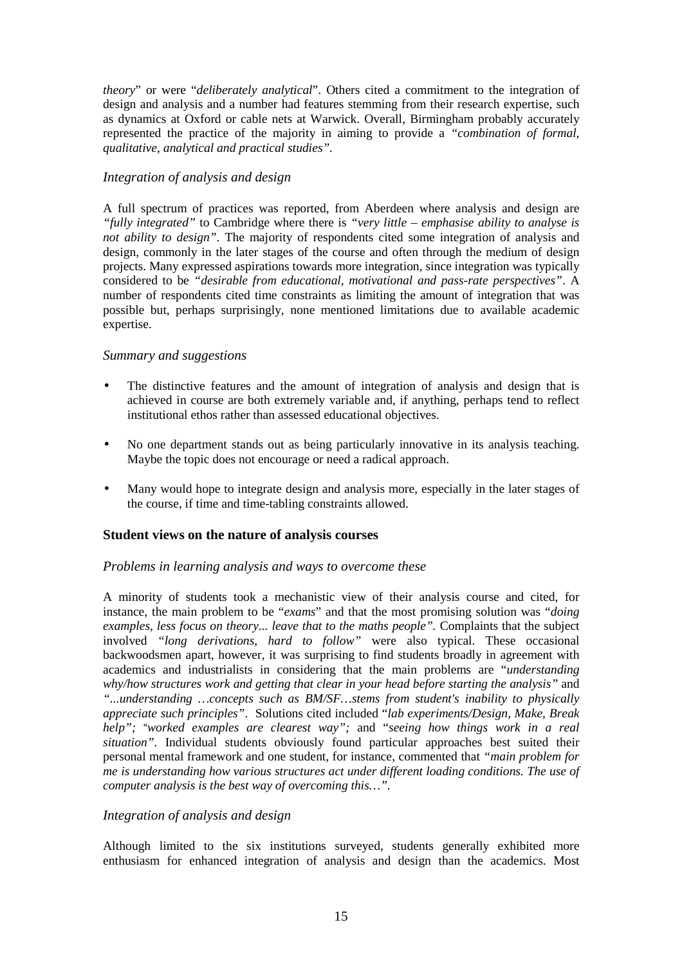*theory*" or were "*deliberately analytical*". Others cited a commitment to the integration of design and analysis and a number had features stemming from their research expertise, such as dynamics at Oxford or cable nets at Warwick. Overall, Birmingham probably accurately represented the practice of the majority in aiming to provide a *"combination of formal, qualitative, analytical and practical studies".*

#### *Integration of analysis and design*

A full spectrum of practices was reported, from Aberdeen where analysis and design are *"fully integrated"* to Cambridge where there is *"very little – emphasise ability to analyse is not ability to design"*. The majority of respondents cited some integration of analysis and design, commonly in the later stages of the course and often through the medium of design projects. Many expressed aspirations towards more integration, since integration was typically considered to be *"desirable from educational, motivational and pass-rate perspectives"*. A number of respondents cited time constraints as limiting the amount of integration that was possible but, perhaps surprisingly, none mentioned limitations due to available academic expertise.

#### *Summary and suggestions*

- The distinctive features and the amount of integration of analysis and design that is achieved in course are both extremely variable and, if anything, perhaps tend to reflect institutional ethos rather than assessed educational objectives.
- No one department stands out as being particularly innovative in its analysis teaching. Maybe the topic does not encourage or need a radical approach.
- Many would hope to integrate design and analysis more, especially in the later stages of the course, if time and time-tabling constraints allowed.

#### **Student views on the nature of analysis courses**

#### *Problems in learning analysis and ways to overcome these*

A minority of students took a mechanistic view of their analysis course and cited, for instance, the main problem to be "*exams*" and that the most promising solution was "*doing examples, less focus on theory... leave that to the maths people".* Complaints that the subject involved *"long derivations, hard to follow"* were also typical. These occasional backwoodsmen apart, however, it was surprising to find students broadly in agreement with academics and industrialists in considering that the main problems are "*understanding why/how structures work and getting that clear in your head before starting the analysis"* and *"...understanding …concepts such as BM/SF…stems from student's inability to physically appreciate such principles"*. Solutions cited included "*lab experiments/Design, Make, Break help";* "*worked examples are clearest way";* and "*seeing how things work in a real situation".* Individual students obviously found particular approaches best suited their personal mental framework and one student, for instance, commented that *"main problem for me is understanding how various structures act under different loading conditions. The use of computer analysis is the best way of overcoming this…".* 

#### *Integration of analysis and design*

Although limited to the six institutions surveyed, students generally exhibited more enthusiasm for enhanced integration of analysis and design than the academics. Most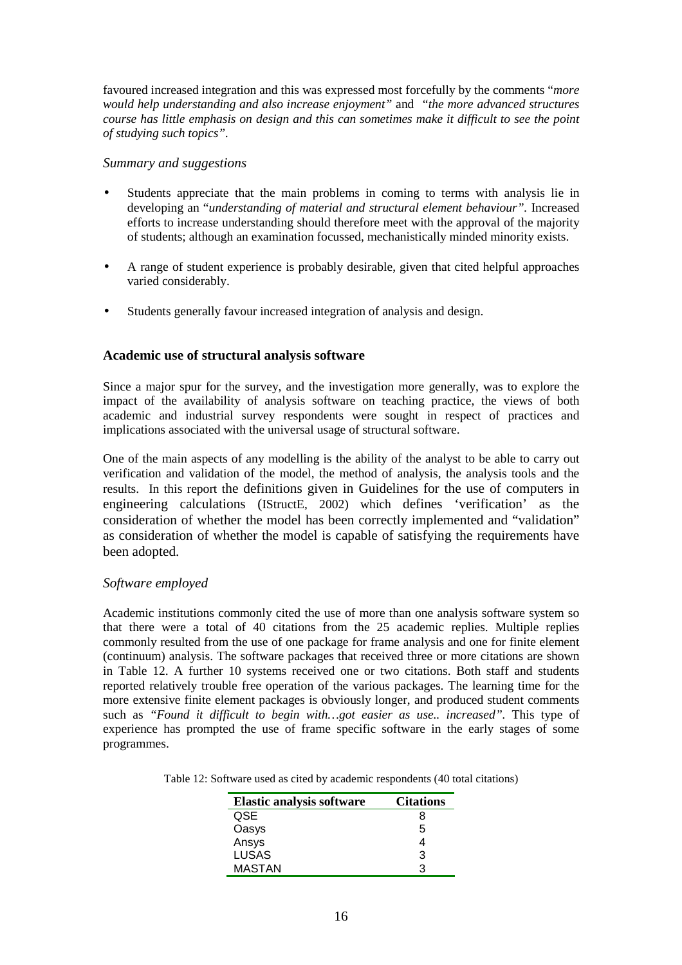favoured increased integration and this was expressed most forcefully by the comments "*more would help understanding and also increase enjoyment"* and *"the more advanced structures course has little emphasis on design and this can sometimes make it difficult to see the point of studying such topics".*

#### *Summary and suggestions*

- Students appreciate that the main problems in coming to terms with analysis lie in developing an "*understanding of material and structural element behaviour".* Increased efforts to increase understanding should therefore meet with the approval of the majority of students; although an examination focussed, mechanistically minded minority exists.
- A range of student experience is probably desirable, given that cited helpful approaches varied considerably.
- Students generally favour increased integration of analysis and design.

#### **Academic use of structural analysis software**

Since a major spur for the survey, and the investigation more generally, was to explore the impact of the availability of analysis software on teaching practice, the views of both academic and industrial survey respondents were sought in respect of practices and implications associated with the universal usage of structural software.

One of the main aspects of any modelling is the ability of the analyst to be able to carry out verification and validation of the model, the method of analysis, the analysis tools and the results. In this report the definitions given in Guidelines for the use of computers in engineering calculations (IStructE, 2002) which defines 'verification' as the consideration of whether the model has been correctly implemented and "validation" as consideration of whether the model is capable of satisfying the requirements have been adopted.

#### *Software employed*

Academic institutions commonly cited the use of more than one analysis software system so that there were a total of 40 citations from the 25 academic replies. Multiple replies commonly resulted from the use of one package for frame analysis and one for finite element (continuum) analysis. The software packages that received three or more citations are shown in Table 12. A further 10 systems received one or two citations. Both staff and students reported relatively trouble free operation of the various packages. The learning time for the more extensive finite element packages is obviously longer, and produced student comments such as *"Found it difficult to begin with...got easier as use.. increased"*. This type of experience has prompted the use of frame specific software in the early stages of some programmes.

| Table 12: Software used as cited by academic respondents (40 total citations) |  |  |  |  |  |
|-------------------------------------------------------------------------------|--|--|--|--|--|
|-------------------------------------------------------------------------------|--|--|--|--|--|

| <b>Elastic analysis software</b> | <b>Citations</b> |
|----------------------------------|------------------|
| <b>QSE</b>                       |                  |
| Oasys                            | 5                |
| Ansys                            |                  |
| <b>LUSAS</b>                     | З                |
| <b>MASTAN</b>                    | ว                |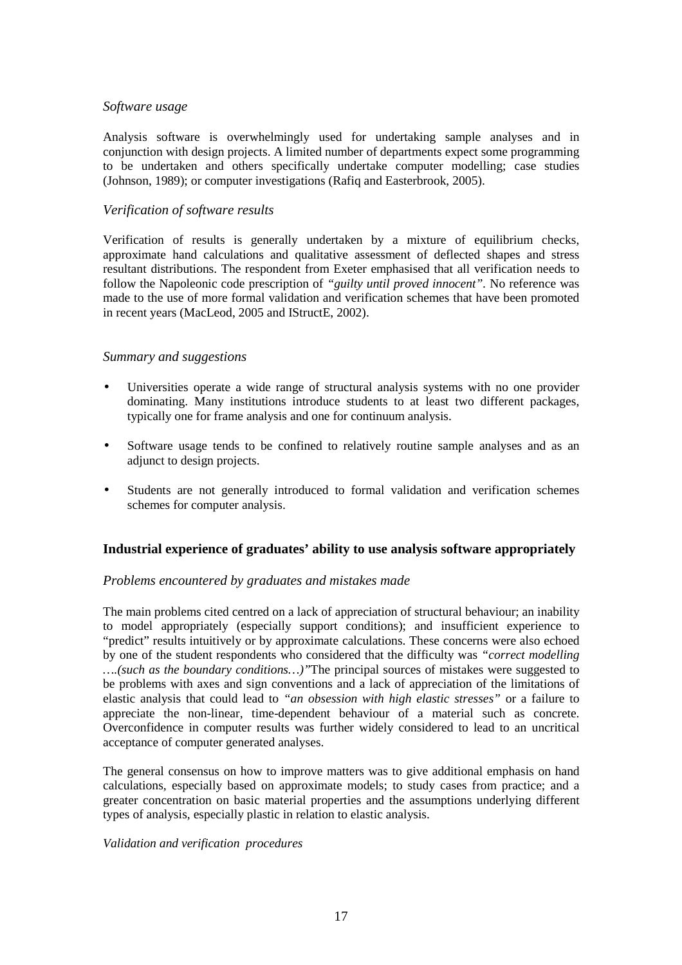#### *Software usage*

Analysis software is overwhelmingly used for undertaking sample analyses and in conjunction with design projects. A limited number of departments expect some programming to be undertaken and others specifically undertake computer modelling; case studies (Johnson, 1989); or computer investigations (Rafiq and Easterbrook, 2005).

#### *Verification of software results*

Verification of results is generally undertaken by a mixture of equilibrium checks, approximate hand calculations and qualitative assessment of deflected shapes and stress resultant distributions. The respondent from Exeter emphasised that all verification needs to follow the Napoleonic code prescription of *"guilty until proved innocent".* No reference was made to the use of more formal validation and verification schemes that have been promoted in recent years (MacLeod, 2005 and IStructE, 2002).

#### *Summary and suggestions*

- Universities operate a wide range of structural analysis systems with no one provider dominating. Many institutions introduce students to at least two different packages, typically one for frame analysis and one for continuum analysis.
- Software usage tends to be confined to relatively routine sample analyses and as an adjunct to design projects.
- Students are not generally introduced to formal validation and verification schemes schemes for computer analysis.

#### **Industrial experience of graduates' ability to use analysis software appropriately**

#### *Problems encountered by graduates and mistakes made*

The main problems cited centred on a lack of appreciation of structural behaviour; an inability to model appropriately (especially support conditions); and insufficient experience to "predict" results intuitively or by approximate calculations. These concerns were also echoed by one of the student respondents who considered that the difficulty was *"correct modelling ….(such as the boundary conditions…)"*The principal sources of mistakes were suggested to be problems with axes and sign conventions and a lack of appreciation of the limitations of elastic analysis that could lead to *"an obsession with high elastic stresses"* or a failure to appreciate the non-linear, time-dependent behaviour of a material such as concrete. Overconfidence in computer results was further widely considered to lead to an uncritical acceptance of computer generated analyses.

The general consensus on how to improve matters was to give additional emphasis on hand calculations, especially based on approximate models; to study cases from practice; and a greater concentration on basic material properties and the assumptions underlying different types of analysis, especially plastic in relation to elastic analysis.

#### *Validation and verification procedures*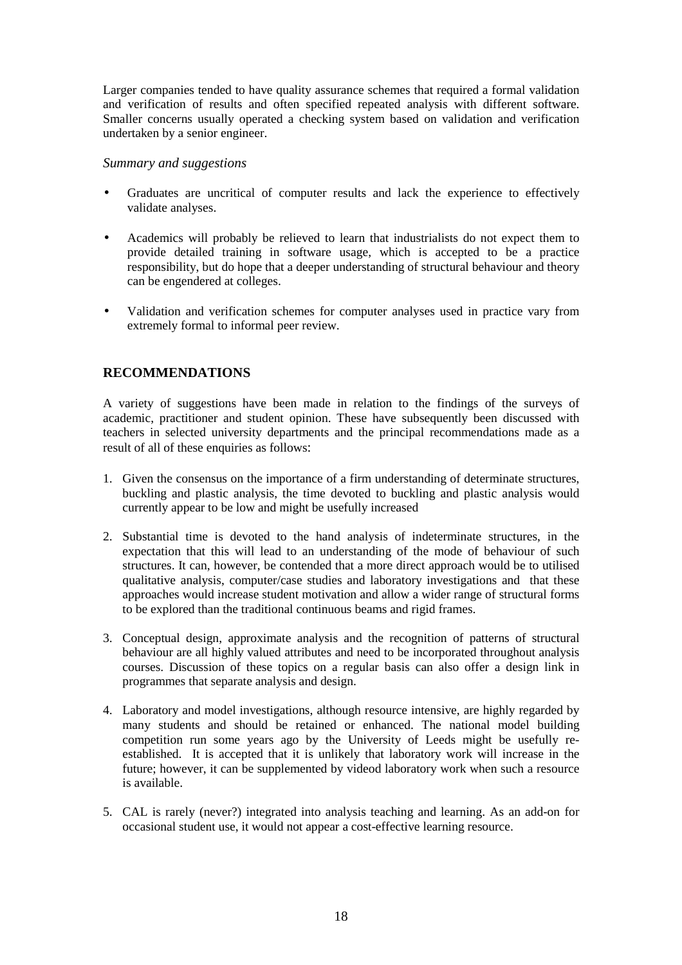Larger companies tended to have quality assurance schemes that required a formal validation and verification of results and often specified repeated analysis with different software. Smaller concerns usually operated a checking system based on validation and verification undertaken by a senior engineer.

#### *Summary and suggestions*

- Graduates are uncritical of computer results and lack the experience to effectively validate analyses.
- Academics will probably be relieved to learn that industrialists do not expect them to provide detailed training in software usage, which is accepted to be a practice responsibility, but do hope that a deeper understanding of structural behaviour and theory can be engendered at colleges.
- Validation and verification schemes for computer analyses used in practice vary from extremely formal to informal peer review.

#### **RECOMMENDATIONS**

A variety of suggestions have been made in relation to the findings of the surveys of academic, practitioner and student opinion. These have subsequently been discussed with teachers in selected university departments and the principal recommendations made as a result of all of these enquiries as follows:

- 1. Given the consensus on the importance of a firm understanding of determinate structures, buckling and plastic analysis, the time devoted to buckling and plastic analysis would currently appear to be low and might be usefully increased
- 2. Substantial time is devoted to the hand analysis of indeterminate structures, in the expectation that this will lead to an understanding of the mode of behaviour of such structures. It can, however, be contended that a more direct approach would be to utilised qualitative analysis, computer/case studies and laboratory investigations and that these approaches would increase student motivation and allow a wider range of structural forms to be explored than the traditional continuous beams and rigid frames.
- 3. Conceptual design, approximate analysis and the recognition of patterns of structural behaviour are all highly valued attributes and need to be incorporated throughout analysis courses. Discussion of these topics on a regular basis can also offer a design link in programmes that separate analysis and design.
- 4. Laboratory and model investigations, although resource intensive, are highly regarded by many students and should be retained or enhanced. The national model building competition run some years ago by the University of Leeds might be usefully reestablished. It is accepted that it is unlikely that laboratory work will increase in the future; however, it can be supplemented by videod laboratory work when such a resource is available.
- 5. CAL is rarely (never?) integrated into analysis teaching and learning. As an add-on for occasional student use, it would not appear a cost-effective learning resource.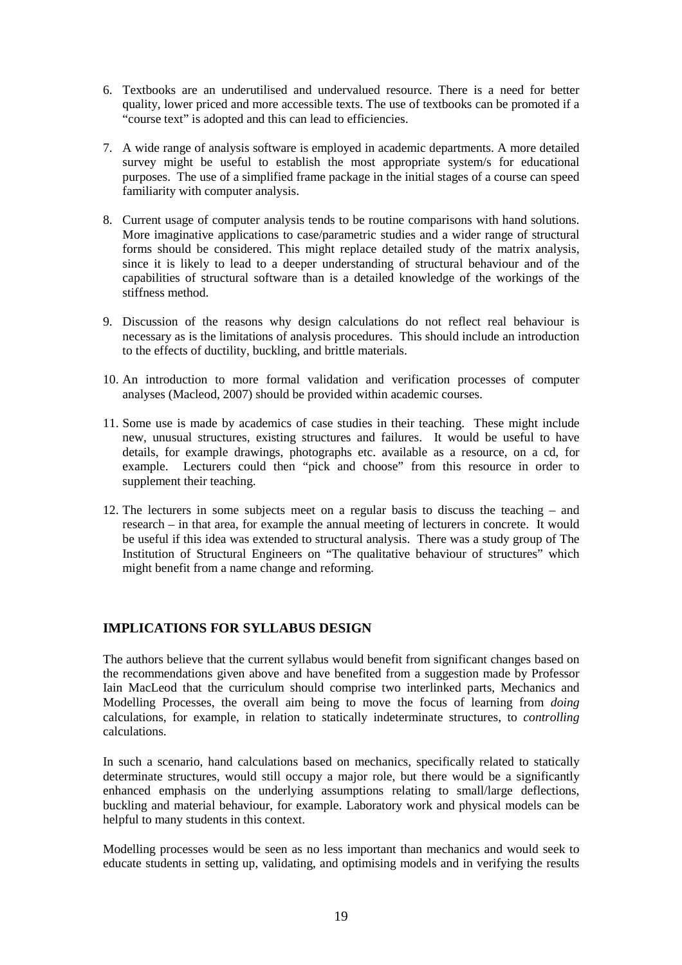- 6. Textbooks are an underutilised and undervalued resource. There is a need for better quality, lower priced and more accessible texts. The use of textbooks can be promoted if a "course text" is adopted and this can lead to efficiencies.
- 7. A wide range of analysis software is employed in academic departments. A more detailed survey might be useful to establish the most appropriate system/s for educational purposes. The use of a simplified frame package in the initial stages of a course can speed familiarity with computer analysis.
- 8. Current usage of computer analysis tends to be routine comparisons with hand solutions. More imaginative applications to case/parametric studies and a wider range of structural forms should be considered. This might replace detailed study of the matrix analysis, since it is likely to lead to a deeper understanding of structural behaviour and of the capabilities of structural software than is a detailed knowledge of the workings of the stiffness method.
- 9. Discussion of the reasons why design calculations do not reflect real behaviour is necessary as is the limitations of analysis procedures. This should include an introduction to the effects of ductility, buckling, and brittle materials.
- 10. An introduction to more formal validation and verification processes of computer analyses (Macleod, 2007) should be provided within academic courses.
- 11. Some use is made by academics of case studies in their teaching. These might include new, unusual structures, existing structures and failures. It would be useful to have details, for example drawings, photographs etc. available as a resource, on a cd, for example. Lecturers could then "pick and choose" from this resource in order to supplement their teaching.
- 12. The lecturers in some subjects meet on a regular basis to discuss the teaching and research – in that area, for example the annual meeting of lecturers in concrete. It would be useful if this idea was extended to structural analysis. There was a study group of The Institution of Structural Engineers on "The qualitative behaviour of structures" which might benefit from a name change and reforming.

# **IMPLICATIONS FOR SYLLABUS DESIGN**

The authors believe that the current syllabus would benefit from significant changes based on the recommendations given above and have benefited from a suggestion made by Professor Iain MacLeod that the curriculum should comprise two interlinked parts, Mechanics and Modelling Processes, the overall aim being to move the focus of learning from *doing* calculations, for example, in relation to statically indeterminate structures, to *controlling* calculations.

In such a scenario, hand calculations based on mechanics, specifically related to statically determinate structures, would still occupy a major role, but there would be a significantly enhanced emphasis on the underlying assumptions relating to small/large deflections, buckling and material behaviour, for example. Laboratory work and physical models can be helpful to many students in this context.

Modelling processes would be seen as no less important than mechanics and would seek to educate students in setting up, validating, and optimising models and in verifying the results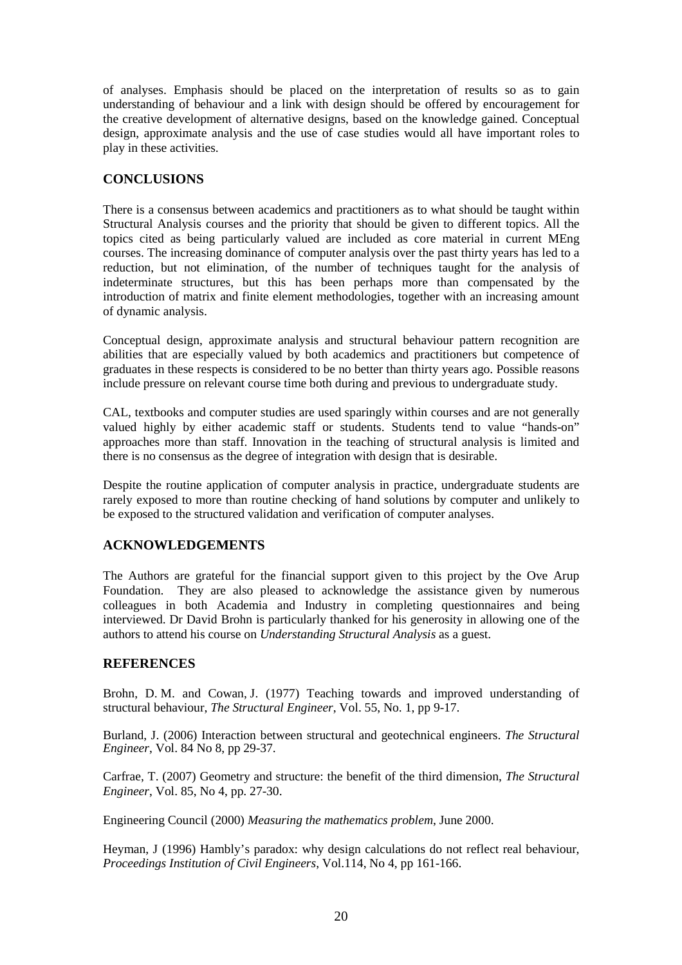of analyses. Emphasis should be placed on the interpretation of results so as to gain understanding of behaviour and a link with design should be offered by encouragement for the creative development of alternative designs, based on the knowledge gained. Conceptual design, approximate analysis and the use of case studies would all have important roles to play in these activities.

#### **CONCLUSIONS**

There is a consensus between academics and practitioners as to what should be taught within Structural Analysis courses and the priority that should be given to different topics. All the topics cited as being particularly valued are included as core material in current MEng courses. The increasing dominance of computer analysis over the past thirty years has led to a reduction, but not elimination, of the number of techniques taught for the analysis of indeterminate structures, but this has been perhaps more than compensated by the introduction of matrix and finite element methodologies, together with an increasing amount of dynamic analysis.

Conceptual design, approximate analysis and structural behaviour pattern recognition are abilities that are especially valued by both academics and practitioners but competence of graduates in these respects is considered to be no better than thirty years ago. Possible reasons include pressure on relevant course time both during and previous to undergraduate study.

CAL, textbooks and computer studies are used sparingly within courses and are not generally valued highly by either academic staff or students. Students tend to value "hands-on" approaches more than staff. Innovation in the teaching of structural analysis is limited and there is no consensus as the degree of integration with design that is desirable.

Despite the routine application of computer analysis in practice, undergraduate students are rarely exposed to more than routine checking of hand solutions by computer and unlikely to be exposed to the structured validation and verification of computer analyses.

# **ACKNOWLEDGEMENTS**

The Authors are grateful for the financial support given to this project by the Ove Arup Foundation. They are also pleased to acknowledge the assistance given by numerous colleagues in both Academia and Industry in completing questionnaires and being interviewed. Dr David Brohn is particularly thanked for his generosity in allowing one of the authors to attend his course on *Understanding Structural Analysis* as a guest.

#### **REFERENCES**

Brohn, D. M. and Cowan, J. (1977) Teaching towards and improved understanding of structural behaviour, *The Structural Engineer*, Vol. 55, No. 1, pp 9-17.

Burland, J. (2006) Interaction between structural and geotechnical engineers. *The Structural Engineer*, Vol. 84 No 8, pp 29-37.

Carfrae, T. (2007) Geometry and structure: the benefit of the third dimension, *The Structural Engineer*, Vol. 85, No 4, pp. 27-30.

Engineering Council (2000) *Measuring the mathematics problem*, June 2000.

Heyman, J (1996) Hambly's paradox: why design calculations do not reflect real behaviour, *Proceedings Institution of Civil Engineers*, Vol.114, No 4, pp 161-166.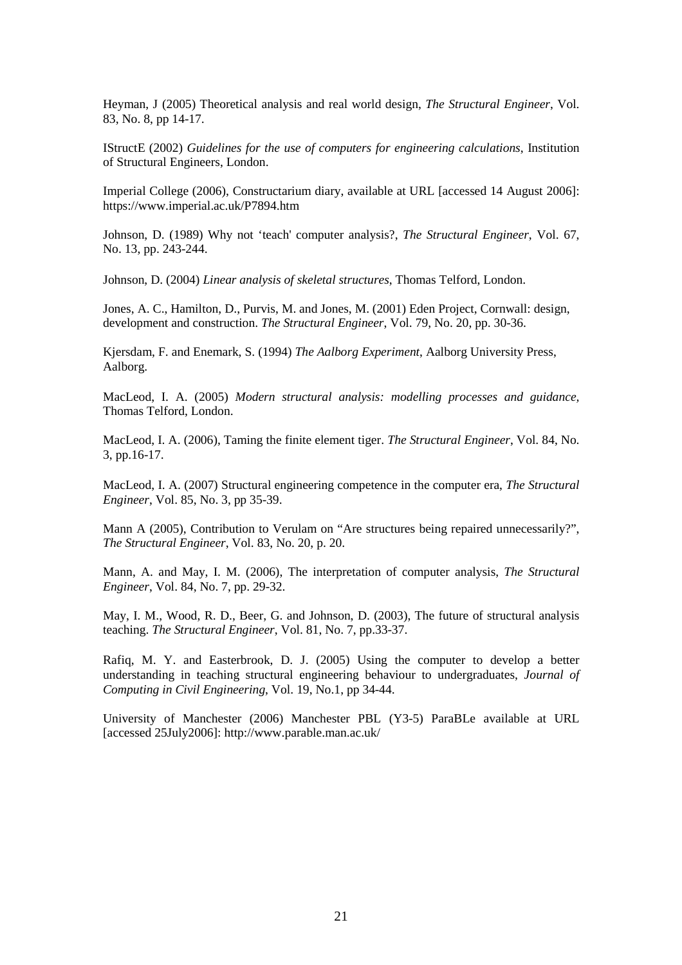Heyman, J (2005) Theoretical analysis and real world design, *The Structural Engineer*, Vol. 83, No. 8, pp 14-17.

IStructE (2002) *Guidelines for the use of computers for engineering calculations*, Institution of Structural Engineers, London.

Imperial College (2006), Constructarium diary, available at URL [accessed 14 August 2006]: https://www.imperial.ac.uk/P7894.htm

Johnson, D. (1989) Why not 'teach' computer analysis?, *The Structural Engineer*, Vol. 67, No. 13, pp. 243-244.

Johnson, D. (2004) *Linear analysis of skeletal structures*, Thomas Telford, London.

Jones, A. C., Hamilton, D., Purvis, M. and Jones, M. (2001) Eden Project, Cornwall: design, development and construction. *The Structural Engineer*, Vol. 79, No. 20, pp. 30-36.

Kjersdam, F. and Enemark, S. (1994) *The Aalborg Experiment*, Aalborg University Press, Aalborg.

MacLeod, I. A. (2005) *Modern structural analysis: modelling processes and guidance,*  Thomas Telford, London.

MacLeod, I. A. (2006), Taming the finite element tiger. *The Structural Engineer*, Vol. 84, No. 3, pp.16-17.

MacLeod, I. A. (2007) Structural engineering competence in the computer era, *The Structural Engineer*, Vol. 85, No. 3, pp 35-39.

Mann A (2005), Contribution to Verulam on "Are structures being repaired unnecessarily?", *The Structural Engineer*, Vol. 83, No. 20, p. 20.

Mann, A. and May, I. M. (2006), The interpretation of computer analysis, *The Structural Engineer*, Vol. 84, No. 7, pp. 29-32.

May, I. M., Wood, R. D., Beer, G. and Johnson, D. (2003), The future of structural analysis teaching. *The Structural Engineer*, Vol. 81, No. 7, pp.33-37.

Rafiq, M. Y. and Easterbrook, D. J. (2005) Using the computer to develop a better understanding in teaching structural engineering behaviour to undergraduates, *Journal of Computing in Civil Engineering*, Vol. 19, No.1, pp 34-44.

University of Manchester (2006) Manchester PBL (Y3-5) ParaBLe available at URL [accessed 25July2006]: http://www.parable.man.ac.uk/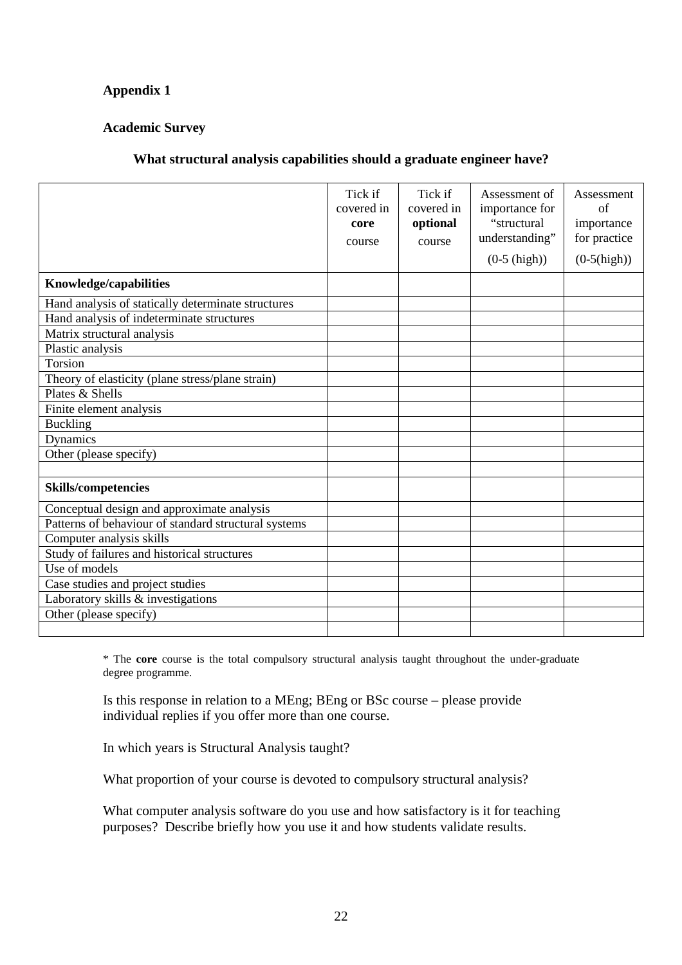# **Appendix 1**

# **Academic Survey**

# **What structural analysis capabilities should a graduate engineer have?**

|                                                      | Tick if<br>covered in<br>core<br>course | Tick if<br>covered in<br>optional<br>course | Assessment of<br>importance for<br>"structural<br>understanding"<br>$(0-5 \; (high))$ | Assessment<br>of<br>importance<br>for practice<br>$(0-5(high))$ |
|------------------------------------------------------|-----------------------------------------|---------------------------------------------|---------------------------------------------------------------------------------------|-----------------------------------------------------------------|
| Knowledge/capabilities                               |                                         |                                             |                                                                                       |                                                                 |
| Hand analysis of statically determinate structures   |                                         |                                             |                                                                                       |                                                                 |
| Hand analysis of indeterminate structures            |                                         |                                             |                                                                                       |                                                                 |
| Matrix structural analysis                           |                                         |                                             |                                                                                       |                                                                 |
| Plastic analysis                                     |                                         |                                             |                                                                                       |                                                                 |
| Torsion                                              |                                         |                                             |                                                                                       |                                                                 |
| Theory of elasticity (plane stress/plane strain)     |                                         |                                             |                                                                                       |                                                                 |
| Plates & Shells                                      |                                         |                                             |                                                                                       |                                                                 |
| Finite element analysis                              |                                         |                                             |                                                                                       |                                                                 |
| <b>Buckling</b>                                      |                                         |                                             |                                                                                       |                                                                 |
| Dynamics                                             |                                         |                                             |                                                                                       |                                                                 |
| Other (please specify)                               |                                         |                                             |                                                                                       |                                                                 |
|                                                      |                                         |                                             |                                                                                       |                                                                 |
| <b>Skills/competencies</b>                           |                                         |                                             |                                                                                       |                                                                 |
| Conceptual design and approximate analysis           |                                         |                                             |                                                                                       |                                                                 |
| Patterns of behaviour of standard structural systems |                                         |                                             |                                                                                       |                                                                 |
| Computer analysis skills                             |                                         |                                             |                                                                                       |                                                                 |
| Study of failures and historical structures          |                                         |                                             |                                                                                       |                                                                 |
| Use of models                                        |                                         |                                             |                                                                                       |                                                                 |
| Case studies and project studies                     |                                         |                                             |                                                                                       |                                                                 |
| Laboratory skills & investigations                   |                                         |                                             |                                                                                       |                                                                 |
| Other (please specify)                               |                                         |                                             |                                                                                       |                                                                 |
|                                                      |                                         |                                             |                                                                                       |                                                                 |

\* The **core** course is the total compulsory structural analysis taught throughout the under-graduate degree programme.

Is this response in relation to a MEng; BEng or BSc course – please provide individual replies if you offer more than one course.

In which years is Structural Analysis taught?

What proportion of your course is devoted to compulsory structural analysis?

What computer analysis software do you use and how satisfactory is it for teaching purposes? Describe briefly how you use it and how students validate results.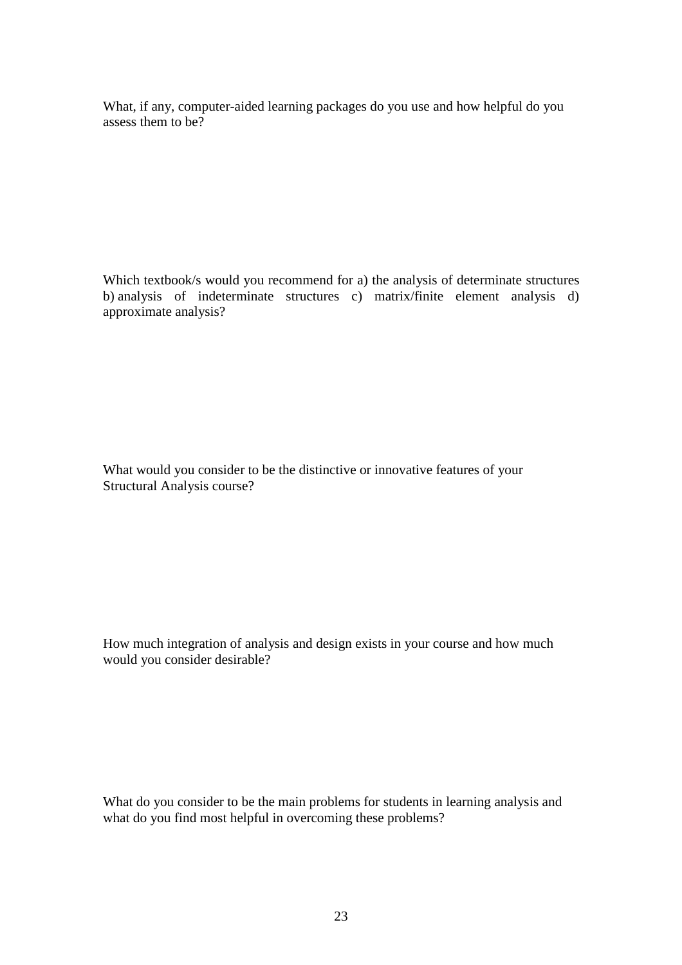What, if any, computer-aided learning packages do you use and how helpful do you assess them to be?

Which textbook/s would you recommend for a) the analysis of determinate structures b) analysis of indeterminate structures c) matrix/finite element analysis d) approximate analysis?

What would you consider to be the distinctive or innovative features of your Structural Analysis course?

How much integration of analysis and design exists in your course and how much would you consider desirable?

What do you consider to be the main problems for students in learning analysis and what do you find most helpful in overcoming these problems?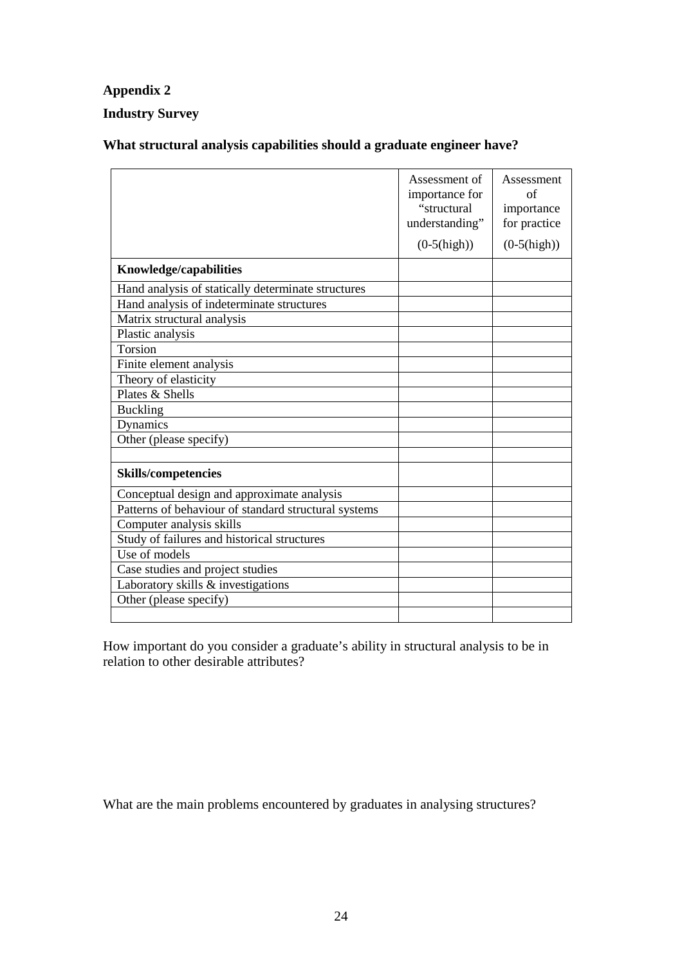# **Appendix 2**

# **Industry Survey**

# **What structural analysis capabilities should a graduate engineer have?**

|                                                      | Assessment of<br>importance for<br>"structural<br>understanding"<br>$(0-5(high))$ | Assessment<br>of<br>importance<br>for practice<br>$(0-5(high))$ |
|------------------------------------------------------|-----------------------------------------------------------------------------------|-----------------------------------------------------------------|
| Knowledge/capabilities                               |                                                                                   |                                                                 |
| Hand analysis of statically determinate structures   |                                                                                   |                                                                 |
| Hand analysis of indeterminate structures            |                                                                                   |                                                                 |
| Matrix structural analysis                           |                                                                                   |                                                                 |
| Plastic analysis                                     |                                                                                   |                                                                 |
| Torsion                                              |                                                                                   |                                                                 |
| Finite element analysis                              |                                                                                   |                                                                 |
| Theory of elasticity                                 |                                                                                   |                                                                 |
| Plates & Shells                                      |                                                                                   |                                                                 |
| <b>Buckling</b>                                      |                                                                                   |                                                                 |
| Dynamics                                             |                                                                                   |                                                                 |
| Other (please specify)                               |                                                                                   |                                                                 |
|                                                      |                                                                                   |                                                                 |
| <b>Skills/competencies</b>                           |                                                                                   |                                                                 |
| Conceptual design and approximate analysis           |                                                                                   |                                                                 |
| Patterns of behaviour of standard structural systems |                                                                                   |                                                                 |
| Computer analysis skills                             |                                                                                   |                                                                 |
| Study of failures and historical structures          |                                                                                   |                                                                 |
| Use of models                                        |                                                                                   |                                                                 |
| Case studies and project studies                     |                                                                                   |                                                                 |
| Laboratory skills & investigations                   |                                                                                   |                                                                 |
| Other (please specify)                               |                                                                                   |                                                                 |
|                                                      |                                                                                   |                                                                 |

How important do you consider a graduate's ability in structural analysis to be in relation to other desirable attributes?

What are the main problems encountered by graduates in analysing structures?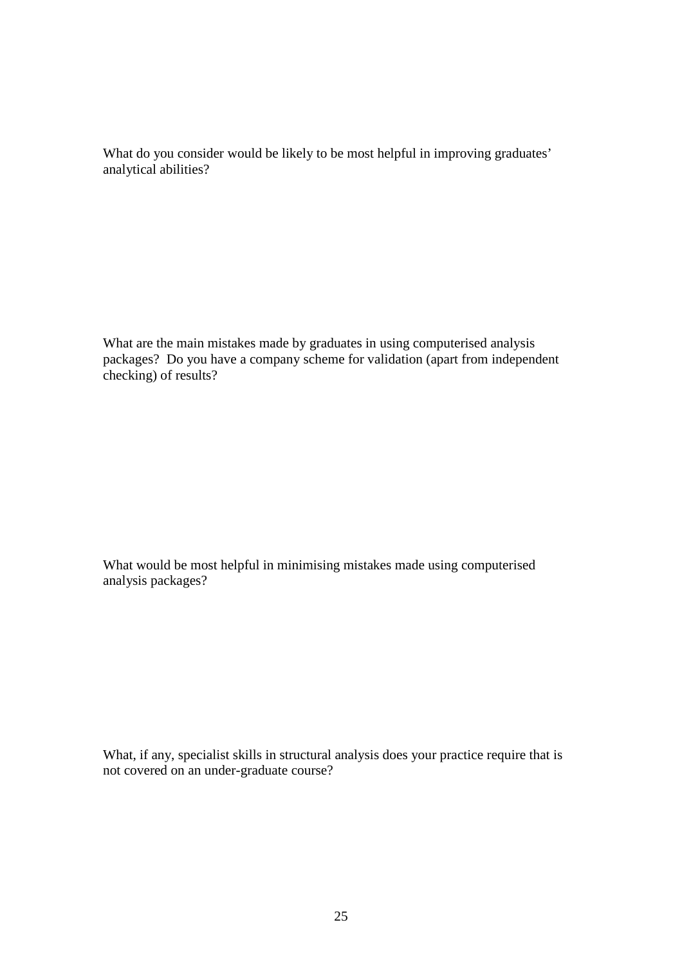What do you consider would be likely to be most helpful in improving graduates' analytical abilities?

What are the main mistakes made by graduates in using computerised analysis packages? Do you have a company scheme for validation (apart from independent checking) of results?

What would be most helpful in minimising mistakes made using computerised analysis packages?

What, if any, specialist skills in structural analysis does your practice require that is not covered on an under-graduate course?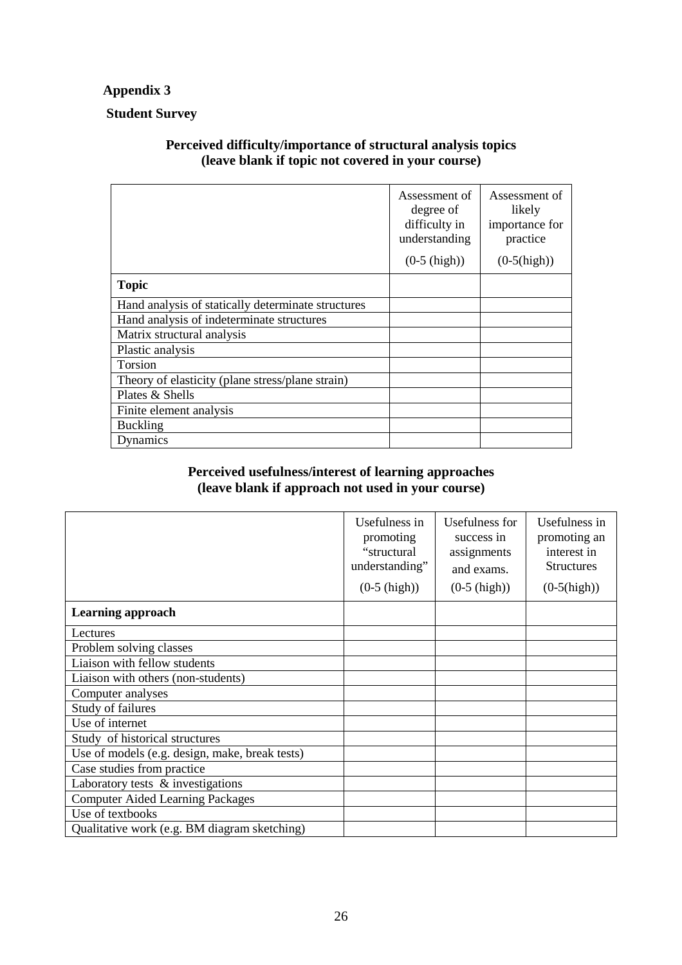# **Appendix 3**

# **Student Survey**

# **Perceived difficulty/importance of structural analysis topics (leave blank if topic not covered in your course)**

|                                                    | Assessment of<br>degree of<br>difficulty in<br>understanding | Assessment of<br>likely<br>importance for<br>practice |
|----------------------------------------------------|--------------------------------------------------------------|-------------------------------------------------------|
|                                                    | $(0-5 \; (high))$                                            | $(0-5(high))$                                         |
| <b>Topic</b>                                       |                                                              |                                                       |
| Hand analysis of statically determinate structures |                                                              |                                                       |
| Hand analysis of indeterminate structures          |                                                              |                                                       |
| Matrix structural analysis                         |                                                              |                                                       |
| Plastic analysis                                   |                                                              |                                                       |
| Torsion                                            |                                                              |                                                       |
| Theory of elasticity (plane stress/plane strain)   |                                                              |                                                       |
| Plates & Shells                                    |                                                              |                                                       |
| Finite element analysis                            |                                                              |                                                       |
| <b>Buckling</b>                                    |                                                              |                                                       |
| Dynamics                                           |                                                              |                                                       |

# **Perceived usefulness/interest of learning approaches (leave blank if approach not used in your course)**

|                                                | Usefulness in<br>promoting<br>"structural<br>understanding"<br>$(0-5 \; (high))$ | Usefulness for<br>success in<br>assignments<br>and exams.<br>$(0-5 \; (high))$ | Usefulness in<br>promoting an<br>interest in<br><b>Structures</b><br>$(0-5(high))$ |
|------------------------------------------------|----------------------------------------------------------------------------------|--------------------------------------------------------------------------------|------------------------------------------------------------------------------------|
| <b>Learning approach</b>                       |                                                                                  |                                                                                |                                                                                    |
| Lectures                                       |                                                                                  |                                                                                |                                                                                    |
| Problem solving classes                        |                                                                                  |                                                                                |                                                                                    |
| Liaison with fellow students                   |                                                                                  |                                                                                |                                                                                    |
| Liaison with others (non-students)             |                                                                                  |                                                                                |                                                                                    |
| Computer analyses                              |                                                                                  |                                                                                |                                                                                    |
| Study of failures                              |                                                                                  |                                                                                |                                                                                    |
| Use of internet                                |                                                                                  |                                                                                |                                                                                    |
| Study of historical structures                 |                                                                                  |                                                                                |                                                                                    |
| Use of models (e.g. design, make, break tests) |                                                                                  |                                                                                |                                                                                    |
| Case studies from practice                     |                                                                                  |                                                                                |                                                                                    |
| Laboratory tests & investigations              |                                                                                  |                                                                                |                                                                                    |
| <b>Computer Aided Learning Packages</b>        |                                                                                  |                                                                                |                                                                                    |
| Use of textbooks                               |                                                                                  |                                                                                |                                                                                    |
| Qualitative work (e.g. BM diagram sketching)   |                                                                                  |                                                                                |                                                                                    |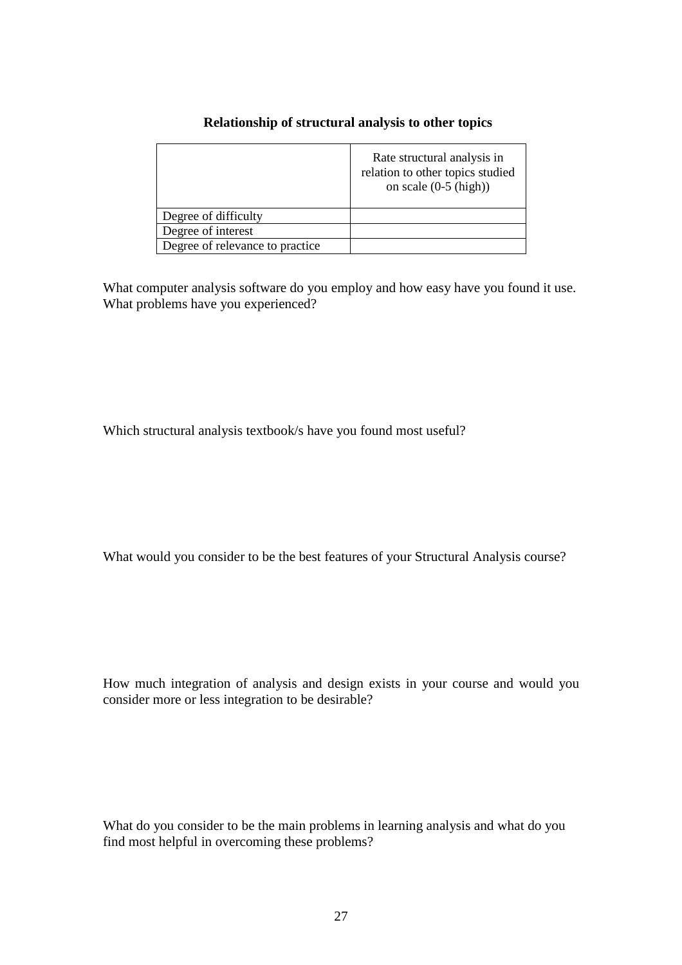#### **Relationship of structural analysis to other topics**

|                                 | Rate structural analysis in<br>relation to other topics studied<br>on scale $(0-5 \text{ (high)})$ |
|---------------------------------|----------------------------------------------------------------------------------------------------|
| Degree of difficulty            |                                                                                                    |
| Degree of interest              |                                                                                                    |
| Degree of relevance to practice |                                                                                                    |

What computer analysis software do you employ and how easy have you found it use. What problems have you experienced?

Which structural analysis textbook/s have you found most useful?

What would you consider to be the best features of your Structural Analysis course?

How much integration of analysis and design exists in your course and would you consider more or less integration to be desirable?

What do you consider to be the main problems in learning analysis and what do you find most helpful in overcoming these problems?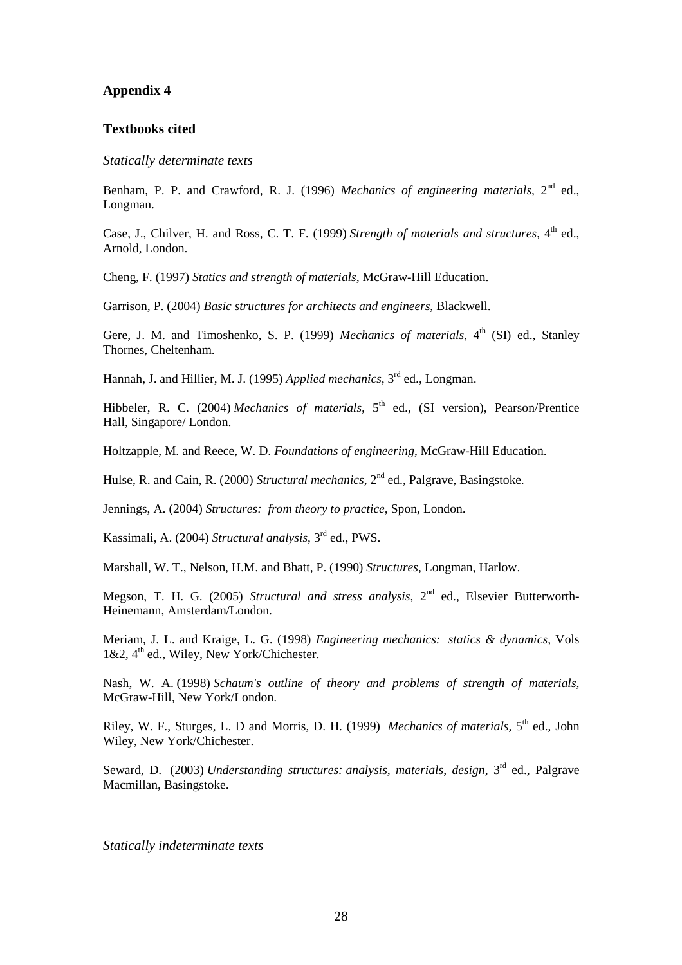#### **Appendix 4**

#### **Textbooks cited**

#### *Statically determinate texts*

Benham, P. P. and Crawford, R. J. (1996) *Mechanics of engineering materials*, 2<sup>nd</sup> ed., Longman.

Case, J., Chilver, H. and Ross, C. T. F. (1999) Strength of materials and structures, 4<sup>th</sup> ed., Arnold, London.

Cheng, F. (1997) *Statics and strength of materials*, McGraw-Hill Education.

Garrison, P. (2004) *Basic structures for architects and engineers*, Blackwell.

Gere, J. M. and Timoshenko, S. P. (1999) *Mechanics of materials*, 4<sup>th</sup> (SI) ed., Stanley Thornes, Cheltenham.

Hannah, J. and Hillier, M. J. (1995) *Applied mechanics*, 3<sup>rd</sup> ed., Longman.

Hibbeler, R. C. (2004) *Mechanics of materials*, 5<sup>th</sup> ed., (SI version), Pearson/Prentice Hall, Singapore/ London.

Holtzapple, M. and Reece, W. D. *Foundations of engineering*, McGraw-Hill Education.

Hulse, R. and Cain, R. (2000) *Structural mechanics*, 2<sup>nd</sup> ed., Palgrave, Basingstoke.

Jennings, A. (2004) *Structures: from theory to practice,* Spon, London.

Kassimali, A. (2004) *Structural analysis*, 3rd ed., PWS.

Marshall, W. T., Nelson, H.M. and Bhatt, P. (1990) *Structures*, Longman, Harlow.

Megson, T. H. G. (2005) *Structural and stress analysis,* 2nd ed., Elsevier Butterworth-Heinemann, Amsterdam/London.

Meriam, J. L. and Kraige, L. G. (1998) *Engineering mechanics: statics & dynamics,* Vols 1&2, 4<sup>th</sup> ed., Wiley, New York/Chichester.

Nash, W. A. (1998) *Schaum's outline of theory and problems of strength of materials,* McGraw-Hill, New York/London.

Riley, W. F., Sturges, L. D and Morris, D. H. (1999) *Mechanics of materials*, 5<sup>th</sup> ed., John Wiley, New York/Chichester.

Seward, D. (2003) *Understanding structures: analysis, materials*, *design*, 3rd ed., Palgrave Macmillan, Basingstoke.

*Statically indeterminate texts*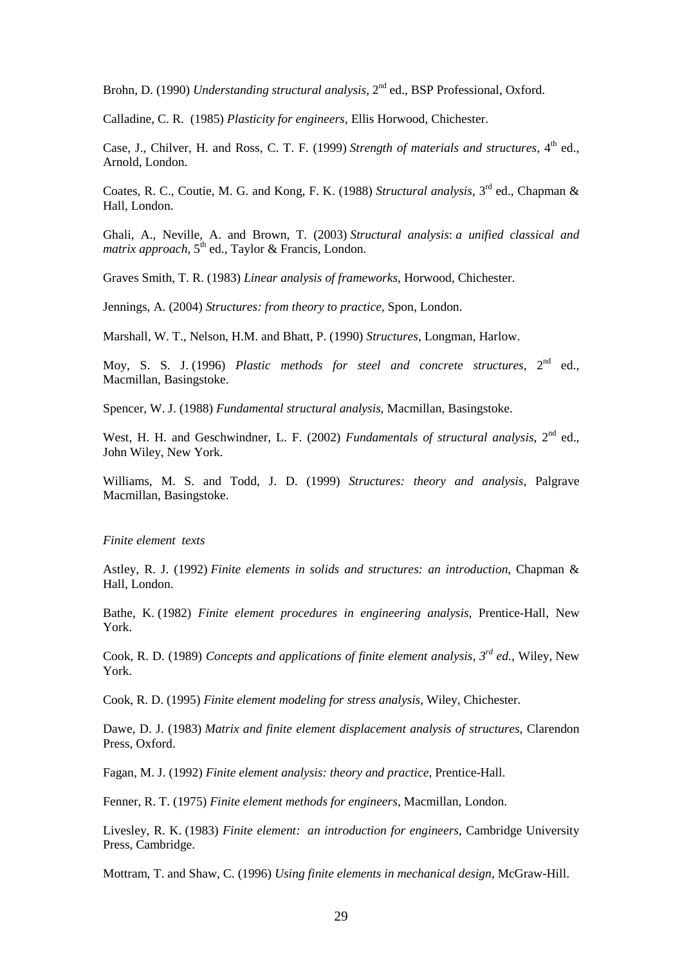Brohn, D. (1990) *Understanding structural analysis*, 2<sup>nd</sup> ed., BSP Professional, Oxford.

Calladine, C. R. (1985) *Plasticity for engineers*, Ellis Horwood, Chichester.

Case, J., Chilver, H. and Ross, C. T. F. (1999) Strength of materials and structures, 4<sup>th</sup> ed., Arnold, London.

Coates, R. C., Coutie, M. G. and Kong, F. K. (1988) *Structural analysis*, 3<sup>rd</sup> ed., Chapman & Hall, London.

Ghali, A., Neville, A. and Brown, T. (2003) *Structural analysis*: *a unified classical and*  matrix approach, 5<sup>th</sup> ed., Taylor & Francis, London.

Graves Smith, T. R. (1983) *Linear analysis of frameworks*, Horwood, Chichester.

Jennings, A. (2004) *Structures: from theory to practice,* Spon, London.

Marshall, W. T., Nelson, H.M. and Bhatt, P. (1990) *Structures*, Longman, Harlow.

Moy, S. S. J. (1996) *Plastic methods for steel and concrete structures*, 2<sup>nd</sup> ed., Macmillan, Basingstoke.

Spencer, W. J. (1988) *Fundamental structural analysis*, Macmillan, Basingstoke.

West, H. H. and Geschwindner, L. F. (2002) *Fundamentals of structural analysis*, 2<sup>nd</sup> ed., John Wiley, New York.

Williams, M. S. and Todd, J. D. (1999) *Structures: theory and analysis,* Palgrave Macmillan, Basingstoke.

#### *Finite element texts*

Astley, R. J. (1992) *Finite elements in solids and structures: an introduction*, Chapman & Hall, London.

Bathe, K. (1982) *Finite element procedures in engineering analysis,* Prentice-Hall, New York.

Cook, R. D. (1989) *Concepts and applications of finite element analysis, 3rd ed.,* Wiley, New York.

Cook, R. D. (1995) *Finite element modeling for stress analysis*, Wiley, Chichester.

Dawe, D. J. (1983) *Matrix and finite element displacement analysis of structures*, Clarendon Press, Oxford.

Fagan, M. J. (1992) *Finite element analysis: theory and practice*, Prentice-Hall.

Fenner, R. T. (1975) *Finite element methods for engineers*, Macmillan, London.

Livesley, R. K. (1983) *Finite element: an introduction for engineers,* Cambridge University Press, Cambridge.

Mottram, T. and Shaw, C. (1996) *Using finite elements in mechanical design*, McGraw-Hill.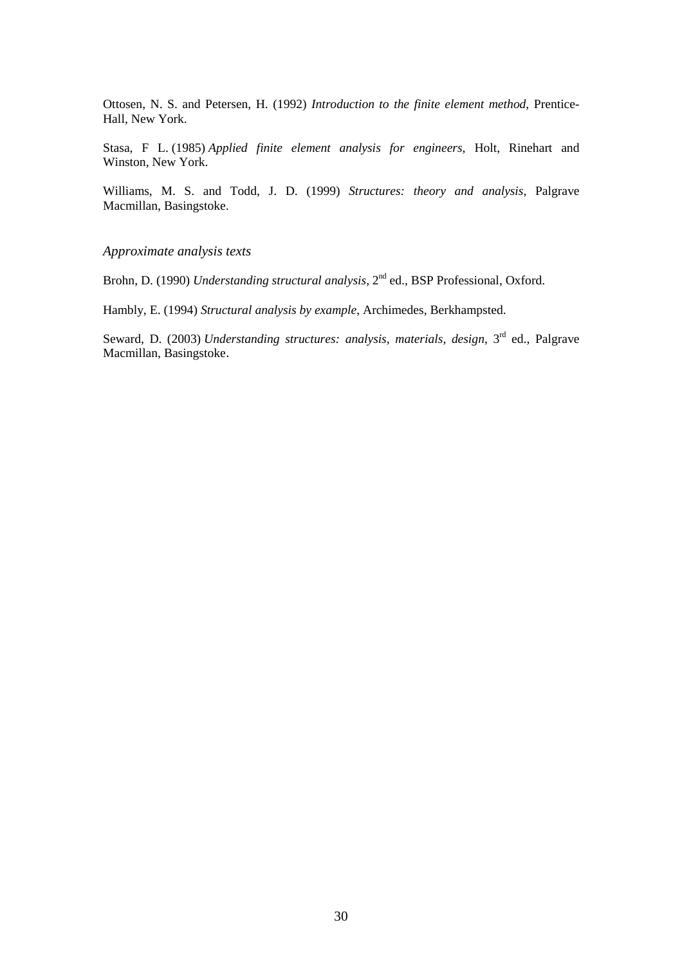Ottosen, N. S. and Petersen, H. (1992) *Introduction to the finite element method*, Prentice-Hall, New York.

Stasa, F L. (1985) *Applied finite element analysis for engineers*, Holt, Rinehart and Winston, New York.

Williams, M. S. and Todd, J. D. (1999) *Structures: theory and analysis,* Palgrave Macmillan, Basingstoke.

*Approximate analysis texts* 

Brohn, D. (1990) *Understanding structural analysis*, 2<sup>nd</sup> ed., BSP Professional, Oxford.

Hambly, E. (1994) *Structural analysis by example*, Archimedes, Berkhampsted.

Seward, D. (2003) *Understanding structures: analysis, materials, design*, 3<sup>rd</sup> ed., Palgrave Macmillan, Basingstoke.